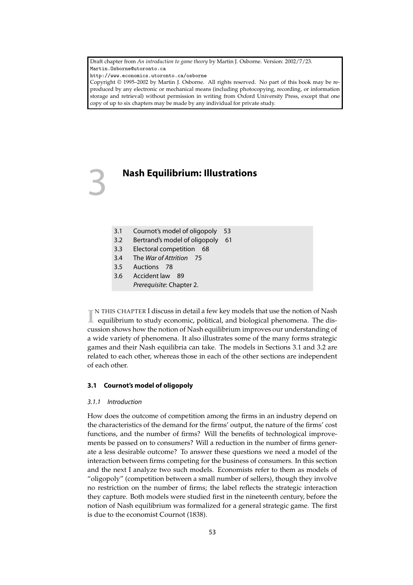Draft chapter from *An introduction to game theory* by Martin J. Osborne. Version: 2002/7/23. Martin.Osborne@utoronto.ca

http://www.economics.utoronto.ca/osborne

Copyright © 1995–2002 by Martin J. Osborne. All rights reserved. No part of this book may be reproduced by any electronic or mechanical means (including photocopying, recording, or information storage and retrieval) without permission in writing from Oxford University Press, except that one copy of up to six chapters may be made by any individual for private study.

# **Nash Equilibrium: Illustrations**

- 3.1 Cournot's model of oligopoly 53
- 3.2 Bertrand's model of oligopoly 61
- 3.3 Electoral competition 68
- 3.4 The *War of Attrition* 75
- 3.5 Auctions 78
- 3.6 Accident law 89
	- *Prerequisite*: Chapter 2.

**I** N THIS CHAPTER I discuss in detail a few key models that use the notion of Nash equilibrium to study economic, political, and biological phenomena. The discussion shows how the notion of Nash equilibrium improves our understanding of a wide variety of phenomena. It also illustrates some of the many forms strategic games and their Nash equilibria can take. The models in Sections 3.1 and 3.2 are related to each other, whereas those in each of the other sections are independent of each other.

## **3.1 Cournot's model of oligopoly**

## *3.1.1 Introduction*

3

How does the outcome of competition among the firms in an industry depend on the characteristics of the demand for the firms' output, the nature of the firms' cost functions, and the number of firms? Will the benefits of technological improvements be passed on to consumers? Will a reduction in the number of firms generate a less desirable outcome? To answer these questions we need a model of the interaction between firms competing for the business of consumers. In this section and the next I analyze two such models. Economists refer to them as models of "oligopoly" (competition between a small number of sellers), though they involve no restriction on the number of firms; the label reflects the strategic interaction they capture. Both models were studied first in the nineteenth century, before the notion of Nash equilibrium was formalized for a general strategic game. The first is due to the economist Cournot (1838).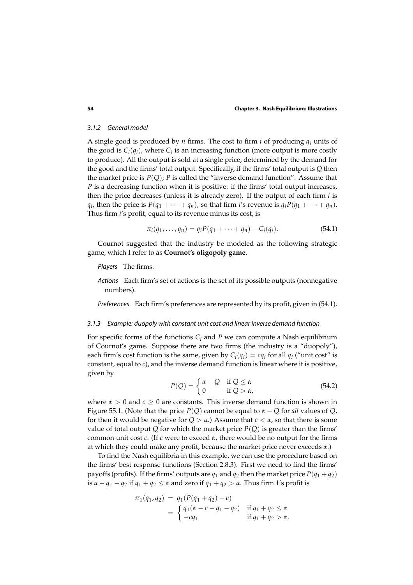## *3.1.2 General model*

A single good is produced by *n* firms. The cost to firm *i* of producing  $q_i$  units of the good is  $C_i(q_i)$ , where  $C_i$  is an increasing function (more output is more costly to produce). All the output is sold at a single price, determined by the demand for the good and the firms' total output. Specifically, if the firms' total output is *Q* then the market price is  $P(Q)$ ; *P* is called the "inverse demand function". Assume that *P* is a decreasing function when it is positive: if the firms' total output increases, then the price decreases (unless it is already zero). If the output of each firm *i* is  $q_i$ , then the price is  $P(q_1 + \cdots + q_n)$ , so that firm *i*'s revenue is  $q_i P(q_1 + \cdots + q_n)$ . Thus firm *i*'s profit, equal to its revenue minus its cost, is

$$
\pi_i(q_1,\ldots,q_n)=q_iP(q_1+\cdots+q_n)-C_i(q_i).
$$
 (54.1)

Cournot suggested that the industry be modeled as the following strategic game, which I refer to as **Cournot's oligopoly game**.

*Players* The firms.

*Actions* Each firm's set of actions is the set of its possible outputs (nonnegative numbers).

*Preferences* Each firm's preferences are represented by its profit, given in (54.1).

## *3.1.3 Example: duopoly with constant unit cost and linear inverse demand function*

For specific forms of the functions  $C_i$  and  $P$  we can compute a Nash equilibrium of Cournot's game. Suppose there are two firms (the industry is a "duopoly"), each firm's cost function is the same, given by  $C_i(q_i) = cq_i$  for all  $q_i$  ("unit cost" is constant, equal to *c*), and the inverse demand function is linear where it is positive, given by

$$
P(Q) = \begin{cases} \alpha - Q & \text{if } Q \le \alpha \\ 0 & \text{if } Q > \alpha, \end{cases}
$$
 (54.2)

where  $\alpha > 0$  and  $c \ge 0$  are constants. This inverse demand function is shown in Figure 55.1. (Note that the price *P*(*Q*) cannot be equal to *α* − *Q* for *all* values of *Q*, for then it would be negative for  $Q > \alpha$ .) Assume that  $c < \alpha$ , so that there is some value of total output *Q* for which the market price  $P(Q)$  is greater than the firms' common unit cost *c*. (If *c* were to exceed *α*, there would be no output for the firms at which they could make any profit, because the market price never exceeds *α*.)

To find the Nash equilibria in this example, we can use the procedure based on the firms' best response functions (Section 2.8.3). First we need to find the firms' payoffs (profits). If the firms' outputs are  $q_1$  and  $q_2$  then the market price  $P(q_1 + q_2)$ is  $\alpha - q_1 - q_2$  if  $q_1 + q_2 \le \alpha$  and zero if  $q_1 + q_2 > \alpha$ . Thus firm 1's profit is

$$
\pi_1(q_1, q_2) = q_1(P(q_1 + q_2) - c)
$$
  
= 
$$
\begin{cases} q_1(\alpha - c - q_1 - q_2) & \text{if } q_1 + q_2 \le \alpha \\ -cq_1 & \text{if } q_1 + q_2 > \alpha. \end{cases}
$$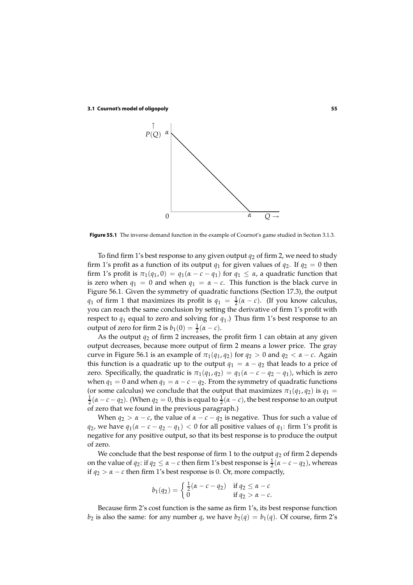**3.1 Cournot's model of oligopoly 55**



**Figure 55.1** The inverse demand function in the example of Cournot's game studied in Section 3.1.3.

To find firm 1's best response to any given output  $q_2$  of firm 2, we need to study firm 1's profit as a function of its output  $q_1$  for given values of  $q_2$ . If  $q_2 = 0$  then firm 1's profit is  $\pi_1(q_1, 0) = q_1(\alpha - c - q_1)$  for  $q_1 \leq \alpha$ , a quadratic function that is zero when  $q_1 = 0$  and when  $q_1 = \alpha - c$ . This function is the black curve in Figure 56.1. Given the symmetry of quadratic functions (Section 17.3), the output *q*<sub>1</sub> of firm 1 that maximizes its profit is  $q_1 = \frac{1}{2}(\alpha - c)$ . (If you know calculus, you can reach the same conclusion by setting the derivative of firm 1's profit with respect to  $q_1$  equal to zero and solving for  $q_1$ .) Thus firm 1's best response to an output of zero for firm 2 is  $b_1(0) = \frac{1}{2}(\alpha - c)$ .

As the output  $q_2$  of firm 2 increases, the profit firm 1 can obtain at any given output decreases, because more output of firm 2 means a lower price. The gray curve in Figure 56.1 is an example of  $\pi_1(q_1, q_2)$  for  $q_2 > 0$  and  $q_2 < \alpha - c$ . Again this function is a quadratic up to the output  $q_1 = \alpha - q_2$  that leads to a price of zero. Specifically, the quadratic is  $\pi_1(q_1, q_2) = q_1(\alpha - c - q_2 - q_1)$ , which is zero when  $q_1 = 0$  and when  $q_1 = \alpha - c - q_2$ . From the symmetry of quadratic functions (or some calculus) we conclude that the output that maximizes  $\pi_1(q_1, q_2)$  is  $q_1$  =  $\frac{1}{2}(\alpha - c - q_2)$ . (When  $q_2 = 0$ , this is equal to  $\frac{1}{2}(\alpha - c)$ , the best response to an output of zero that we found in the previous paragraph.)

When  $q_2 > \alpha - c$ , the value of  $\alpha - c - q_2$  is negative. Thus for such a value of *q*<sub>2</sub>, we have  $q_1(\alpha - c - q_2 - q_1) < 0$  for all positive values of  $q_1$ : firm 1's profit is negative for any positive output, so that its best response is to produce the output of zero.

We conclude that the best response of firm 1 to the output  $q_2$  of firm 2 depends on the value of  $q_2$ : if  $q_2 \leq \alpha - c$  then firm 1's best response is  $\frac{1}{2}(\alpha - c - q_2)$ , whereas if  $q_2 > \alpha - c$  then firm 1's best response is 0. Or, more compactly,

$$
b_1(q_2) = \begin{cases} \frac{1}{2}(\alpha - c - q_2) & \text{if } q_2 \leq \alpha - c \\ 0 & \text{if } q_2 > \alpha - c. \end{cases}
$$

Because firm 2's cost function is the same as firm 1's, its best response function *b*<sub>2</sub> is also the same: for any number *q*, we have  $b_2(q) = b_1(q)$ . Of course, firm 2's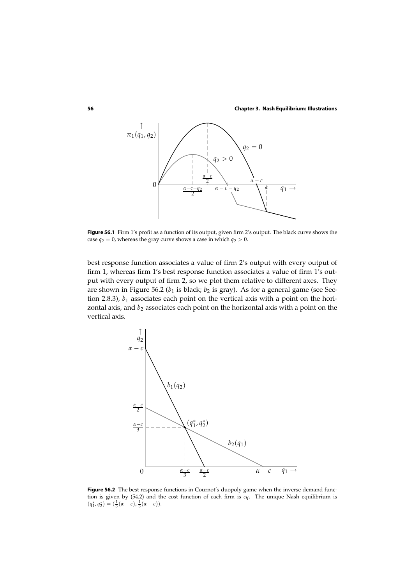**56 Chapter 3. Nash Equilibrium: Illustrations**



**Figure 56.1** Firm 1's profit as a function of its output, given firm 2's output. The black curve shows the case  $q_2 = 0$ , whereas the gray curve shows a case in which  $q_2 > 0$ .

best response function associates a value of firm 2's output with every output of firm 1, whereas firm 1's best response function associates a value of firm 1's output with every output of firm 2, so we plot them relative to different axes. They are shown in Figure 56.2 ( $b_1$  is black;  $b_2$  is gray). As for a general game (see Section 2.8.3),  $b_1$  associates each point on the vertical axis with a point on the horizontal axis, and  $b_2$  associates each point on the horizontal axis with a point on the vertical axis.



Figure 56.2 The best response functions in Cournot's duopoly game when the inverse demand function is given by (54.2) and the cost function of each firm is *cq*. The unique Nash equilibrium is  $(q_1^*, q_2^*) = (\frac{1}{3}(\alpha - c), \frac{1}{3}(\alpha - c)).$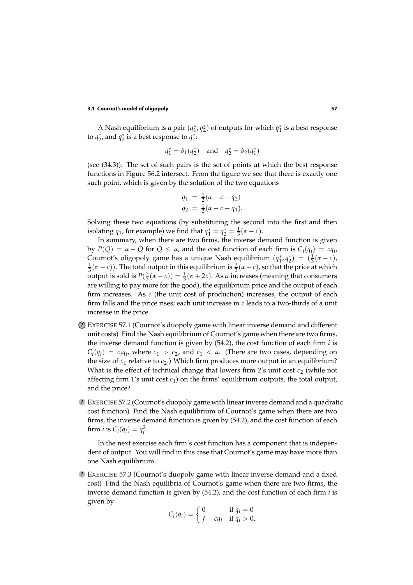#### **3.1 Cournot's model of oligopoly 57**

A Nash equilibrium is a pair  $(q_1^*, q_2^*)$  of outputs for which  $q_1^*$  is a best response to  $q_2^*$ , and  $q_2^*$  is a best response to  $q_1^*$ :

$$
q_1^* = b_1(q_2^*)
$$
 and  $q_2^* = b_2(q_1^*)$ 

(see (34.3)). The set of such pairs is the set of points at which the best response functions in Figure 56.2 intersect. From the figure we see that there is exactly one such point, which is given by the solution of the two equations

$$
q_1 = \frac{1}{2}(\alpha - c - q_2)
$$
  
\n
$$
q_2 = \frac{1}{2}(\alpha - c - q_1).
$$

Solving these two equations (by substituting the second into the first and then isolating  $q_1$ , for example) we find that  $q_1^* = q_2^* = \frac{1}{3}(\alpha - c)$ .

In summary, when there are two firms, the inverse demand function is given by  $P(Q) = \alpha - Q$  for  $Q \leq \alpha$ , and the cost function of each firm is  $C_i(q_i) = cq_i$ , Cournot's oligopoly game has a unique Nash equilibrium  $(q_1^*, q_2^*) = (\frac{1}{3}(\alpha - c),$  $\frac{1}{3}(\alpha - c)$ ). The total output in this equilibrium is  $\frac{2}{3}(\alpha - c)$ , so that the price at which  $\text{output is sold is } P(\frac{2}{3}(\alpha - c)) = \frac{1}{3}(\alpha + 2c)$ . As *α* increases (meaning that consumers are willing to pay more for the good), the equilibrium price and the output of each firm increases. As *c* (the unit cost of production) increases, the output of each firm falls and the price rises; each unit increase in *c* leads to a two-thirds of a unit increase in the price.

- ? EXERCISE 57.1 (Cournot's duopoly game with linear inverse demand and different unit costs) Find the Nash equilibrium of Cournot's game when there are two firms, the inverse demand function is given by (54.2), the cost function of each firm *i* is  $C_i(q_i) = c_i q_i$ , where  $c_1 > c_2$ , and  $c_1 < \alpha$ . (There are two cases, depending on the size of  $c_1$  relative to  $c_2$ .) Which firm produces more output in an equilibrium? What is the effect of technical change that lowers firm  $2$ 's unit cost  $c_2$  (while not affecting firm 1's unit cost *c*1) on the firms' equilibrium outputs, the total output, and the price?
- ? EXERCISE 57.2 (Cournot's duopoly game with linearinverse demand and a quadratic cost function) Find the Nash equilibrium of Cournot's game when there are two firms, the inverse demand function is given by (54.2), and the cost function of each firm *i* is  $C_i(q_i) = q_i^2$ .

In the next exercise each firm's cost function has a component that is independent of output. You will find in this case that Cournot's game may have more than one Nash equilibrium.

? EXERCISE 57.3 (Cournot's duopoly game with linear inverse demand and a fixed cost) Find the Nash equilibria of Cournot's game when there are two firms, the inverse demand function is given by (54.2), and the cost function of each firm *i* is given by

$$
C_i(q_i) = \begin{cases} 0 & \text{if } q_i = 0\\ f + cq_i & \text{if } q_i > 0, \end{cases}
$$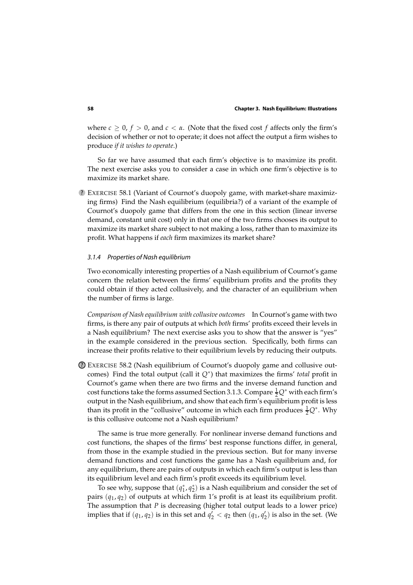where  $c \geq 0$ ,  $f > 0$ , and  $c < \alpha$ . (Note that the fixed cost f affects only the firm's decision of whether or not to operate; it does not affect the output a firm wishes to produce *if it wishes to operate*.)

So far we have assumed that each firm's objective is to maximize its profit. The next exercise asks you to consider a case in which one firm's objective is to maximize its market share.

? EXERCISE 58.1 (Variant of Cournot's duopoly game, with market-share maximizing firms) Find the Nash equilibrium (equilibria?) of a variant of the example of Cournot's duopoly game that differs from the one in this section (linear inverse demand, constant unit cost) only in that one of the two firms chooses its output to maximize its market share subject to not making a loss, rather than to maximize its profit. What happens if *each* firm maximizes its market share?

## *3.1.4 Properties of Nash equilibrium*

Two economically interesting properties of a Nash equilibrium of Cournot's game concern the relation between the firms' equilibrium profits and the profits they could obtain if they acted collusively, and the character of an equilibrium when the number of firms is large.

*Comparison of Nash equilibrium with collusive outcomes* In Cournot's game with two firms, is there any pair of outputs at which *both* firms' profits exceed their levels in a Nash equilibrium? The next exercise asks you to show that the answer is "yes" in the example considered in the previous section. Specifically, both firms can increase their profits relative to their equilibrium levels by reducing their outputs.

? EXERCISE 58.2 (Nash equilibrium of Cournot's duopoly game and collusive outcomes) Find the total output (call it *Q*∗ ) that maximizes the firms' *total* profit in Cournot's game when there are two firms and the inverse demand function and  $\cosh$  functions take the forms assumed Section 3.1.3. Compare  $\frac{1}{2}Q^*$  with each firm's output in the Nash equilibrium, and show that each firm's equilibrium profit is less than its profit in the "collusive" outcome in which each firm produces  $\frac{1}{2}Q^*$ . Why is this collusive outcome not a Nash equilibrium?

The same is true more generally. For nonlinear inverse demand functions and cost functions, the shapes of the firms' best response functions differ, in general, from those in the example studied in the previous section. But for many inverse demand functions and cost functions the game has a Nash equilibrium and, for any equilibrium, there are pairs of outputs in which each firm's output is less than its equilibrium level and each firm's profit exceeds its equilibrium level.

To see why, suppose that  $(q_1^*, q_2^*)$  is a Nash equilibrium and consider the set of pairs (*q*1, *q*2) of outputs at which firm 1's profit is at least its equilibrium profit. The assumption that *P* is decreasing (higher total output leads to a lower price) implies that if  $(q_1, q_2)$  is in this set and  $q'_2 < q_2$  then  $(q_1, q'_2)$  is also in the set. (We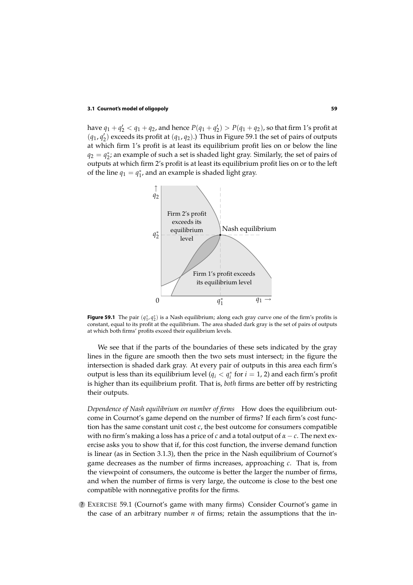#### **3.1 Cournot's model of oligopoly 59**

have  $q_1 + q_2' < q_1 + q_2$ , and hence  $P(q_1 + q_2') > P(q_1 + q_2)$ , so that firm 1's profit at  $(q_1, q'_2)$  exceeds its profit at  $(q_1, q_2)$ .) Thus in Figure 59.1 the set of pairs of outputs at which firm 1's profit is at least its equilibrium profit lies on or below the line  $q_2 = q_2^*$ ; an example of such a set is shaded light gray. Similarly, the set of pairs of outputs at which firm 2's profit is at least its equilibrium profit lies on or to the left of the line  $q_1 = q_1^*$ , and an example is shaded light gray.



**Figure 59.1** The pair  $(q_1^*, q_2^*)$  is a Nash equilibrium; along each gray curve one of the firm's profits is constant, equal to its profit at the equilibrium. The area shaded dark gray is the set of pairs of outputs at which both firms' profits exceed their equilibrium levels.

We see that if the parts of the boundaries of these sets indicated by the gray lines in the figure are smooth then the two sets must intersect; in the figure the intersection is shaded dark gray. At every pair of outputs in this area each firm's output is less than its equilibrium level ( $q_i < q_i^*$  for  $i = 1, 2$ ) and each firm's profit is higher than its equilibrium profit. That is, *both* firms are better off by restricting their outputs.

*Dependence of Nash equilibrium on number of firms* How does the equilibrium outcome in Cournot's game depend on the number of firms? If each firm's cost function has the same constant unit cost *c*, the best outcome for consumers compatible with no firm's making a loss has a price of *c* and a total output of *α* − *c*. The next exercise asks you to show that if, for this cost function, the inverse demand function is linear (as in Section 3.1.3), then the price in the Nash equilibrium of Cournot's game decreases as the number of firms increases, approaching *c*. That is, from the viewpoint of consumers, the outcome is better the larger the number of firms, and when the number of firms is very large, the outcome is close to the best one compatible with nonnegative profits for the firms.

? EXERCISE 59.1 (Cournot's game with many firms) Consider Cournot's game in the case of an arbitrary number  $n$  of firms; retain the assumptions that the in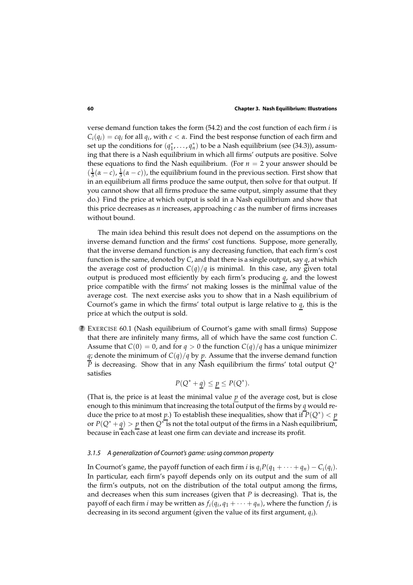verse demand function takes the form (54.2) and the cost function of each firm *i* is  $C_i(q_i) = cq_i$  for all  $q_i$ , with  $c < \alpha$ . Find the best response function of each firm and set up the conditions for  $(q_1^*, \ldots, q_n^*)$  to be a Nash equilibrium (see (34.3)), assuming that there is a Nash equilibrium in which all firms' outputs are positive. Solve these equations to find the Nash equilibrium. (For  $n = 2$  your answer should be  $(\frac{1}{3}(\alpha - c), \frac{1}{3}(\alpha - c))$ , the equilibrium found in the previous section. First show that in an equilibrium all firms produce the same output, then solve for that output. If you cannot show that all firms produce the same output, simply assume that they do.) Find the price at which output is sold in a Nash equilibrium and show that this price decreases as *n* increases, approaching *c* as the number of firms increases without bound.

The main idea behind this result does not depend on the assumptions on the inverse demand function and the firms' cost functions. Suppose, more generally, that the inverse demand function is any decreasing function, that each firm's cost function is the same, denoted by *C*, and that there is a single output, say *q*, at which the average cost of production  $C(q)/q$  is minimal. In this case, any given total output is produced most efficiently by each firm's producing *q*, and the lowest price compatible with the firms' not making losses is the minimal value of the average cost. The next exercise asks you to show that in a Nash equilibrium of Cournot's game in which the firms' total output is large relative to *q*, this is the price at which the output is sold.

?? EXERCISE 60.1 (Nash equilibrium of Cournot's game with small firms) Suppose that there are infinitely many firms, all of which have the same cost function *C*. Assume that  $C(0) = 0$ , and for  $q > 0$  the function  $C(q)/q$  has a unique minimizer *q*; denote the minimum of  $C(q)/q$  by *p*. Assume that the inverse demand function *P* is decreasing. Show that in any Nash equilibrium the firms' total output *Q*∗ satisfies

$$
P(Q^* + \underline{q}) \leq \underline{p} \leq P(Q^*).
$$

(That is, the price is at least the minimal value  $p$  of the average cost, but is close enough to this minimum that increasing the total output of the firms by *q* would reduce the price to at most *p*.) To establish these inequalities, show that if *P*(*Q*∗ ) < *p* or  $P(Q^* + q) > p$  then  $Q^*$  is not the total output of the firms in a Nash equilibrium, because in each case at least one firm can deviate and increase its profit.

## *3.1.5 A generalization of Cournot's game: using common property*

In Cournot's game, the payoff function of each firm *i* is  $q_i P(q_1 + \cdots + q_n) - C_i(q_i)$ . In particular, each firm's payoff depends only on its output and the sum of all the firm's outputs, not on the distribution of the total output among the firms, and decreases when this sum increases (given that *P* is decreasing). That is, the payoff of each firm *i* may be written as  $f_i(q_i, q_1 + \cdots + q_n)$ , where the function  $f_i$  is decreasing in its second argument (given the value of its first argument, *q<sup>i</sup>* ).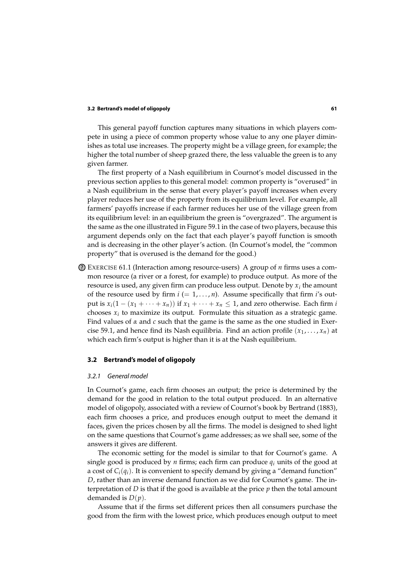#### **3.2 Bertrand's model of oligopoly 61**

This general payoff function captures many situations in which players compete in using a piece of common property whose value to any one player diminishes as total use increases. The property might be a village green, for example; the higher the total number of sheep grazed there, the less valuable the green is to any given farmer.

The first property of a Nash equilibrium in Cournot's model discussed in the previous section applies to this general model: common property is "overused" in a Nash equilibrium in the sense that every player's payoff increases when every player reduces her use of the property from its equilibrium level. For example, all farmers' payoffs increase if each farmer reduces her use of the village green from its equilibrium level: in an equilibrium the green is "overgrazed". The argument is the same as the one illustrated in Figure 59.1 in the case of two players, because this argument depends only on the fact that each player's payoff function is smooth and is decreasing in the other player's action. (In Cournot's model, the "common property" that is overused is the demand for the good.)

? EXERCISE 61.1 (Interaction among resource-users) A group of *n* firms uses a common resource (a river or a forest, for example) to produce output. As more of the resource is used, any given firm can produce less output. Denote by *x<sup>i</sup>* the amount of the resource used by firm  $i (= 1, \ldots, n)$ . Assume specifically that firm  $i$ 's output is  $x_i(1 - (x_1 + \cdots + x_n))$  if  $x_1 + \cdots + x_n \leq 1$ , and zero otherwise. Each firm *i* chooses  $x_i$  to maximize its output. Formulate this situation as a strategic game. Find values of *α* and *c* such that the game is the same as the one studied in Exercise 59.1, and hence find its Nash equilibria. Find an action profile  $(x_1, \ldots, x_n)$  at which each firm's output is higher than it is at the Nash equilibrium.

## **3.2 Bertrand's model of oligopoly**

## *3.2.1 General model*

In Cournot's game, each firm chooses an output; the price is determined by the demand for the good in relation to the total output produced. In an alternative model of oligopoly, associated with a review of Cournot's book by Bertrand (1883), each firm chooses a price, and produces enough output to meet the demand it faces, given the prices chosen by all the firms. The model is designed to shed light on the same questions that Cournot's game addresses; as we shall see, some of the answers it gives are different.

The economic setting for the model is similar to that for Cournot's game. A single good is produced by *n* firms; each firm can produce  $q_i$  units of the good at a cost of *C<sup>i</sup>* (*qi* ). It is convenient to specify demand by giving a "demand function" *D*, rather than an inverse demand function as we did for Cournot's game. The interpretation of *D* is that if the good is available at the price *p* then the total amount demanded is *D*(*p*).

Assume that if the firms set different prices then all consumers purchase the good from the firm with the lowest price, which produces enough output to meet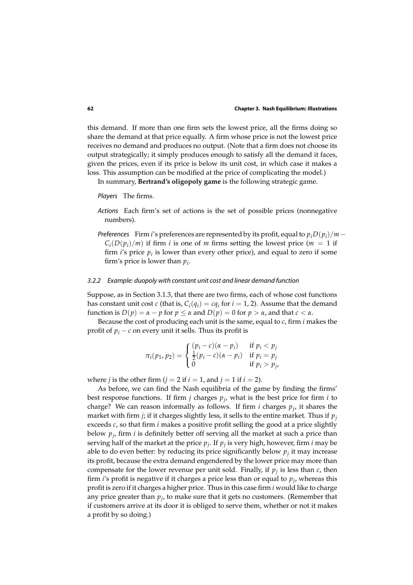this demand. If more than one firm sets the lowest price, all the firms doing so share the demand at that price equally. A firm whose price is not the lowest price receives no demand and produces no output. (Note that a firm does not choose its output strategically; it simply produces enough to satisfy all the demand it faces, given the prices, even if its price is below its unit cost, in which case it makes a loss. This assumption can be modified at the price of complicating the model.)

In summary, **Bertrand's oligopoly game** is the following strategic game.

*Players* The firms.

- *Actions* Each firm's set of actions is the set of possible prices (nonnegative numbers).
- *Preferences* Firm *i*'s preferences are represented by its profit, equal to *piD*(*p<sup>i</sup>* )/*m* −  $C_i(D(p_i)/m)$  if firm *i* is one of *m* firms setting the lowest price (*m* = 1 if firm  $i$ 's price  $p_i$  is lower than every other price), and equal to zero if some firm's price is lower than *p<sup>i</sup>* .

## *3.2.2 Example: duopoly with constant unit cost and linear demand function*

Suppose, as in Section 3.1.3, that there are two firms, each of whose cost functions has constant unit cost *c* (that is,  $C_i(q_i) = cq_i$  for  $i = 1, 2$ ). Assume that the demand function is  $D(p) = \alpha - p$  for  $p \le \alpha$  and  $D(p) = 0$  for  $p > \alpha$ , and that  $c < \alpha$ .

Because the cost of producing each unit is the same, equal to *c*, firm *i* makes the profit of  $p_i - c$  on every unit it sells. Thus its profit is

$$
\pi_i(p_1, p_2) = \begin{cases}\n(p_i - c)(\alpha - p_i) & \text{if } p_i < p_j \\
\frac{1}{2}(p_i - c)(\alpha - p_i) & \text{if } p_i = p_j \\
0 & \text{if } p_i > p_j,\n\end{cases}
$$

where *j* is the other firm ( $j = 2$  if  $i = 1$ , and  $j = 1$  if  $i = 2$ ).

As before, we can find the Nash equilibria of the game by finding the firms' best response functions. If firm *j* charges *p<sup>j</sup>* , what is the best price for firm *i* to charge? We can reason informally as follows. If firm *i* charges *p<sup>j</sup>* , it shares the market with firm *j*; if it charges slightly less, it sells to the entire market. Thus if  $p_j$ exceeds *c*, so that firm *i* makes a positive profit selling the good at a price slightly below *p<sup>j</sup>* , firm *i* is definitely better off serving all the market at such a price than serving half of the market at the price *p<sup>j</sup>* . If *p<sup>j</sup>* is very high, however, firm *i* may be able to do even better: by reducing its price significantly below *p<sup>j</sup>* it may increase its profit, because the extra demand engendered by the lower price may more than compensate for the lower revenue per unit sold. Finally, if  $p_j$  is less than  $c$ , then firm *i*'s profit is negative if it charges a price less than or equal to *p<sup>j</sup>* , whereas this profit is zero if it charges a higher price. Thus in this case firm *i* would like to charge any price greater than *p<sup>j</sup>* , to make sure that it gets no customers. (Remember that if customers arrive at its door it is obliged to serve them, whether or not it makes a profit by so doing.)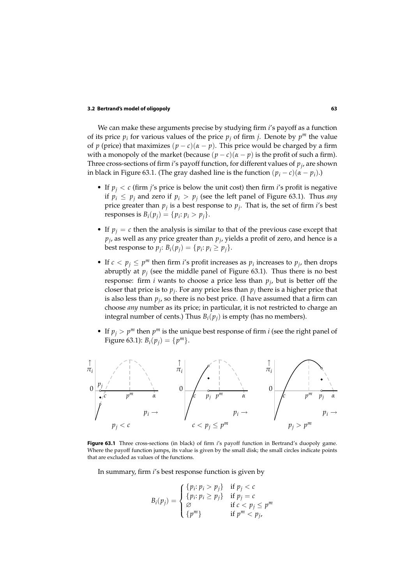#### **3.2 Bertrand's model of oligopoly 63**

We can make these arguments precise by studying firm *i*'s payoff as a function of its price  $p_i$  for various values of the price  $p_j$  of firm *j*. Denote by  $p^m$  the value of *p* (price) that maximizes  $(p - c)(\alpha - p)$ . This price would be charged by a firm with a monopoly of the market (because  $(p - c)(\alpha - p)$  is the profit of such a firm). Three cross-sections of firm *i*'s payoff function, for different values of *p<sup>j</sup>* , are shown in black in Figure 63.1. (The gray dashed line is the function  $(p_i - c)(\alpha - p_i)$ .)

- If  $p_i < c$  (firm *j's* price is below the unit cost) then firm *i's* profit is negative if  $p_i \leq p_j$  and zero if  $p_i > p_j$  (see the left panel of Figure 63.1). Thus any price greater than *p<sup>j</sup>* is a best response to *p<sup>j</sup>* . That is, the set of firm *i*'s best responses is  $B_i(p_j) = \{p_i : p_i > p_j\}.$
- If  $p_j = c$  then the analysis is similar to that of the previous case except that  $p_j$ , as well as any price greater than  $p_j$ , yields a profit of zero, and hence is a best response to  $p_j$ :  $B_i(p_j) = \{p_i: p_i \geq p_j\}$ .
- If  $c < p_j \leq p^m$  then firm *i*'s profit increases as  $p_i$  increases to  $p_j$ , then drops abruptly at  $p_j$  (see the middle panel of Figure 63.1). Thus there is no best response: firm *i* wants to choose a price less than *p<sup>j</sup>* , but is better off the closer that price is to  $p_j$ . For any price less than  $p_j$  there is a higher price that is also less than  $p_j$ , so there is no best price. (I have assumed that a firm can choose *any* number as its price; in particular, it is not restricted to charge an integral number of cents.) Thus  $B_i(p_j)$  is empty (has no members).
- If  $p_j > p^m$  then  $p^m$  is the unique best response of firm *i* (see the right panel of Figure 63.1):  $B_i(p_j) = \{p^m\}.$



**Figure 63.1** Three cross-sections (in black) of firm *i*'s payoff function in Bertrand's duopoly game. Where the payoff function jumps, its value is given by the small disk; the small circles indicate points that are excluded as values of the functions.

In summary, firm *i*'s best response function is given by

$$
B_i(p_j) = \begin{cases} \{p_i: p_i > p_j\} & \text{if } p_j < c \\ \{p_i: p_i \ge p_j\} & \text{if } p_j = c \\ \varnothing & \text{if } c < p_j \le p^m \\ \{p^m\} & \text{if } p^m < p_j, \end{cases}
$$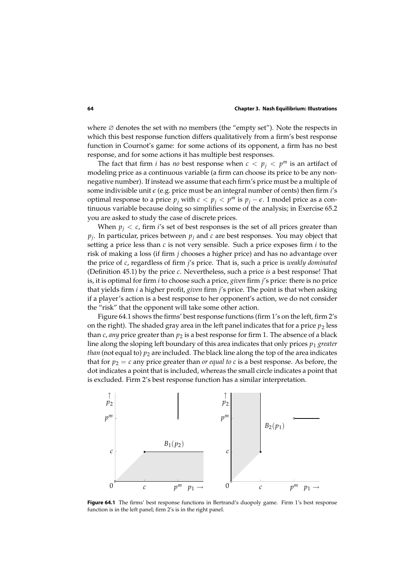where  $\varnothing$  denotes the set with no members (the "empty set"). Note the respects in which this best response function differs qualitatively from a firm's best response function in Cournot's game: for some actions of its opponent, a firm has no best response, and for some actions it has multiple best responses.

The fact that firm *i* has *no* best response when  $c < p_j < p^m$  is an artifact of modeling price as a continuous variable (a firm can choose its price to be any nonnegative number). If instead we assume that each firm's price must be a multiple of some indivisible unit *e* (e.g. price must be an integral number of cents) then firm *i*'s optimal response to a price  $p_j$  with  $c < p_j < p^m$  is  $p_j - \epsilon$ . I model price as a continuous variable because doing so simplifies some of the analysis; in Exercise 65.2 you are asked to study the case of discrete prices.

When  $p_i < c$ , firm *i*'s set of best responses is the set of all prices greater than *pj* . In particular, prices between *p<sup>j</sup>* and *c* are best responses. You may object that setting a price less than *c* is not very sensible. Such a price exposes firm *i* to the risk of making a loss (if firm *j* chooses a higher price) and has no advantage over the price of *c*, regardless of firm *j*'s price. That is, such a price is *weakly dominated* (Definition 45.1) by the price *c*. Nevertheless, such a price *is* a best response! That is, it is optimal for firm *i* to choose such a price, *given* firm *j*'s price: there is no price that yields firm *i* a higher profit, *given* firm *j*'s price. The point is that when asking if a player's action is a best response to her opponent's action, we do not consider the "risk" that the opponent will take some other action.

Figure 64.1 shows the firms' bestresponse functions (firm 1's on the left, firm 2's on the right). The shaded gray area in the left panel indicates that for a price  $p_2$  less than  $c$ , *any* price greater than  $p_2$  is a best response for firm 1. The absence of a black line along the sloping left boundary of this area indicates that only prices *p*<sup>1</sup> *greater than* (not equal to)  $p_2$  are included. The black line along the top of the area indicates that for  $p_2 = c$  any price greater than *or equal to c* is a best response. As before, the dot indicates a point that is included, whereas the small circle indicates a point that is excluded. Firm 2's best response function has a similar interpretation.



**Figure 64.1** The firms' best response functions in Bertrand's duopoly game. Firm 1's best response function is in the left panel; firm 2's is in the right panel.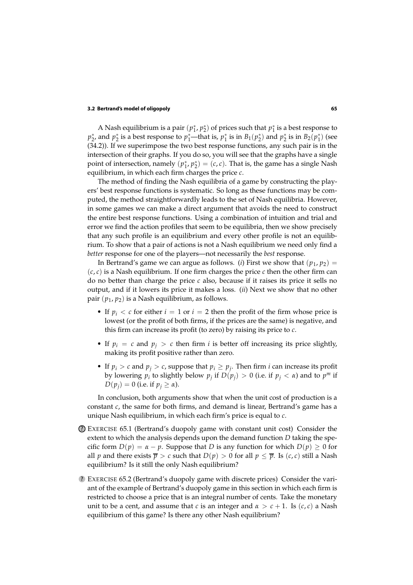#### **3.2 Bertrand's model of oligopoly 65**

A Nash equilibrium is a pair  $(p^{*}_{1}, p^{*}_{2})$  of prices such that  $p^{*}_{1}$  is a best response to  $p_2^*$ , and  $p_2^*$  is a best response to  $p_1^*$ —that is,  $p_1^*$  is in  $B_1(p_2^*)$  and  $p_2^*$  is in  $B_2(p_1^*)$  (see (34.2)). If we superimpose the two best response functions, any such pair is in the intersection of their graphs. If you do so, you will see that the graphs have a single point of intersection, namely  $(p_1^*, p_2^*) = (c, c)$ . That is, the game has a single Nash equilibrium, in which each firm charges the price *c*.

The method of finding the Nash equilibria of a game by constructing the players' best response functions is systematic. So long as these functions may be computed, the method straightforwardly leads to the set of Nash equilibria. However, in some games we can make a direct argument that avoids the need to construct the entire best response functions. Using a combination of intuition and trial and error we find the action profiles that seem to be equilibria, then we show precisely that any such profile is an equilibrium and every other profile is not an equilibrium. To show that a pair of actions is not a Nash equilibrium we need only find a *better* response for one of the players—not necessarily the *best* response.

In Bertrand's game we can argue as follows. (*i*) First we show that  $(p_1, p_2)$  =  $(c, c)$  is a Nash equilibrium. If one firm charges the price *c* then the other firm can do no better than charge the price *c* also, because if it raises its price it sells no output, and if it lowers its price it makes a loss. (*ii*) Next we show that no other pair (*p*1, *p*2) is a Nash equilibrium, as follows.

- If  $p_i < c$  for either  $i = 1$  or  $i = 2$  then the profit of the firm whose price is lowest (or the profit of both firms, if the prices are the same) is negative, and this firm can increase its profit (to zero) by raising its price to *c*.
- If  $p_i = c$  and  $p_j > c$  then firm *i* is better off increasing its price slightly, making its profit positive rather than zero.
- If  $p_i > c$  and  $p_j > c$ , suppose that  $p_i \geq p_j$ . Then firm *i* can increase its profit by lowering  $p_i$  to slightly below  $p_j$  if  $D(p_j) > 0$  (i.e. if  $p_j < \alpha$ ) and to  $p^m$  if  $D(p_j) = 0$  (i.e. if  $p_j ≥ α$ ).

In conclusion, both arguments show that when the unit cost of production is a constant *c*, the same for both firms, and demand is linear, Bertrand's game has a unique Nash equilibrium, in which each firm's price is equal to *c*.

- ? EXERCISE 65.1 (Bertrand's duopoly game with constant unit cost) Consider the extent to which the analysis depends upon the demand function *D* taking the specific form  $D(p) = \alpha - p$ . Suppose that *D* is any function for which  $D(p) \ge 0$  for all *p* and there exists  $\overline{p} > c$  such that  $D(p) > 0$  for all  $p \leq \overline{p}$ . Is  $(c, c)$  still a Nash equilibrium? Is it still the only Nash equilibrium?
- ? EXERCISE 65.2 (Bertrand's duopoly game with discrete prices) Consider the variant of the example of Bertrand's duopoly game in this section in which each firm is restricted to choose a price that is an integral number of cents. Take the monetary unit to be a cent, and assume that *c* is an integer and  $\alpha > c + 1$ . Is (*c*, *c*) a Nash equilibrium of this game? Is there any other Nash equilibrium?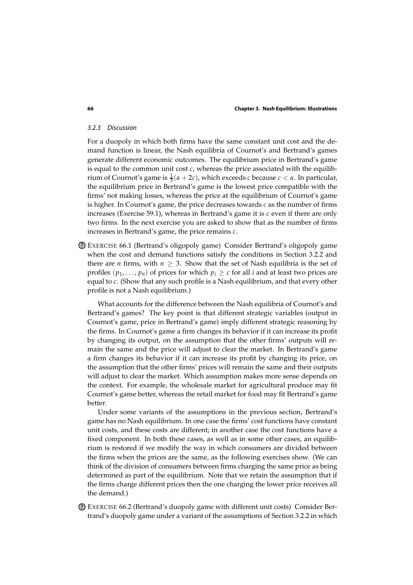## *3.2.3 Discussion*

For a duopoly in which both firms have the same constant unit cost and the demand function is linear, the Nash equilibria of Cournot's and Bertrand's games generate different economic outcomes. The equilibrium price in Bertrand's game is equal to the common unit cost *c*, whereas the price associated with the equilibrium of Cournot's game is  $\frac{1}{3}(\alpha + 2c)$ , which exceeds *c* because  $c < \alpha$ . In particular, the equilibrium price in Bertrand's game is the lowest price compatible with the firms' not making losses, whereas the price at the equilibrium of Cournot's game is higher. In Cournot's game, the price decreases towards *c* as the number of firms increases (Exercise 59.1), whereas in Bertrand's game it is *c* even if there are only two firms. In the next exercise you are asked to show that as the number of firms increases in Bertrand's game, the price remains *c*.

? EXERCISE 66.1 (Bertrand's oligopoly game) Consider Bertrand's oligopoly game when the cost and demand functions satisfy the conditions in Section 3.2.2 and there are *n* firms, with  $n \geq 3$ . Show that the set of Nash equilibria is the set of profiles  $(p_1, \ldots, p_n)$  of prices for which  $p_i \geq c$  for all *i* and at least two prices are equal to *c*. (Show that any such profile is a Nash equilibrium, and that every other profile is not a Nash equilibrium.)

What accounts for the difference between the Nash equilibria of Cournot's and Bertrand's games? The key point is that different strategic variables (output in Cournot's game, price in Bertrand's game) imply different strategic reasoning by the firms. In Cournot's game a firm changes its behavior if it can increase its profit by changing its output, on the assumption that the other firms' outputs will remain the same and the price will adjust to clear the market. In Bertrand's game a firm changes its behavior if it can increase its profit by changing its price, on the assumption that the other firms' prices will remain the same and their outputs will adjust to clear the market. Which assumption makes more sense depends on the context. For example, the wholesale market for agricultural produce may fit Cournot's game better, whereas the retail market for food may fit Bertrand's game better.

Under some variants of the assumptions in the previous section, Bertrand's game has no Nash equilibrium. In one case the firms' cost functions have constant unit costs, and these costs are different; in another case the cost functions have a fixed component. In both these cases, as well as in some other cases, an equilibrium is restored if we modify the way in which consumers are divided between the firms when the prices are the same, as the following exercises show. (We can think of the division of consumers between firms charging the same price as being determined as part of the equilibrium. Note that we retain the assumption that if the firms charge different prices then the one charging the lower price receives all the demand.)

? EXERCISE 66.2 (Bertrand's duopoly game with different unit costs) Consider Bertrand's duopoly game under a variant of the assumptions of Section 3.2.2 in which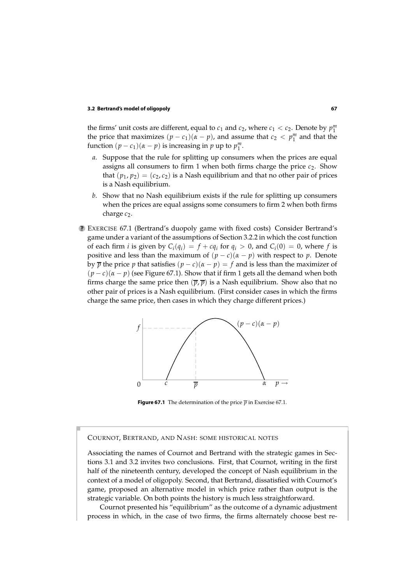#### **3.2 Bertrand's model of oligopoly 67**

the firms' unit costs are different, equal to  $c_1$  and  $c_2$ , where  $c_1 < c_2$ . Denote by  $p_1^m$ the price that maximizes  $(p - c_1)(\alpha - p)$ , and assume that  $c_2 < p_1^m$  and that the function  $(p - c_1)(\alpha - p)$  is increasing in *p* up to  $p_1^m$ .

- *a*. Suppose that the rule for splitting up consumers when the prices are equal assigns all consumers to firm 1 when both firms charge the price  $c_2$ . Show that  $(p_1, p_2) = (c_2, c_2)$  is a Nash equilibrium and that no other pair of prices is a Nash equilibrium.
- *b*. Show that no Nash equilibrium exists if the rule for splitting up consumers when the prices are equal assigns some consumers to firm 2 when both firms charge  $c_2$ .
- ?? EXERCISE 67.1 (Bertrand's duopoly game with fixed costs) Consider Bertrand's game under a variant of the assumptions of Section 3.2.2 in which the cost function of each firm *i* is given by  $C_i(q_i) = f + cq_i$  for  $q_i > 0$ , and  $C_i(0) = 0$ , where  $f$  is positive and less than the maximum of  $(p - c)(\alpha - p)$  with respect to *p*. Denote by  $\overline{p}$  the price *p* that satisfies  $(p - c)(\alpha - p) = f$  and is less than the maximizer of  $(p - c)(\alpha - p)$  (see Figure 67.1). Show that if firm 1 gets all the demand when both firms charge the same price then  $(\overline{p}, \overline{p})$  is a Nash equilibrium. Show also that no other pair of prices is a Nash equilibrium. (First consider cases in which the firms charge the same price, then cases in which they charge different prices.)



**Figure 67.1** The determination of the price  $\overline{p}$  in Exercise 67.1.

COURNOT, BERTRAND, AND NASH: SOME HISTORICAL NOTES

Associating the names of Cournot and Bertrand with the strategic games in Sections 3.1 and 3.2 invites two conclusions. First, that Cournot, writing in the first half of the nineteenth century, developed the concept of Nash equilibrium in the context of a model of oligopoly. Second, that Bertrand, dissatisfied with Cournot's game, proposed an alternative model in which price rather than output is the strategic variable. On both points the history is much less straightforward.

Cournot presented his "equilibrium" as the outcome of a dynamic adjustment process in which, in the case of two firms, the firms alternately choose best re-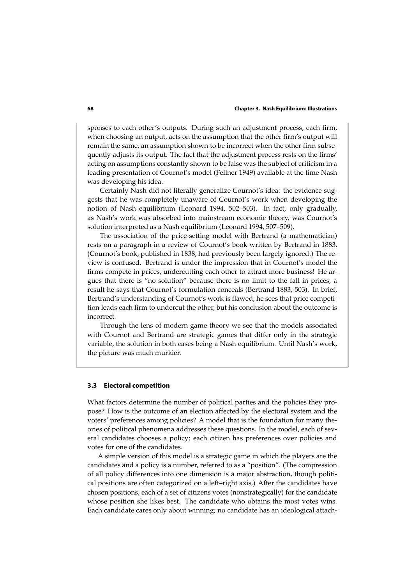#### **68 Chapter 3. Nash Equilibrium: Illustrations**

sponses to each other's outputs. During such an adjustment process, each firm, when choosing an output, acts on the assumption that the other firm's output will remain the same, an assumption shown to be incorrect when the other firm subsequently adjusts its output. The fact that the adjustment process rests on the firms' acting on assumptions constantly shown to be false was the subject of criticism in a leading presentation of Cournot's model (Fellner 1949) available at the time Nash was developing his idea.

Certainly Nash did not literally generalize Cournot's idea: the evidence suggests that he was completely unaware of Cournot's work when developing the notion of Nash equilibrium (Leonard 1994, 502–503). In fact, only gradually, as Nash's work was absorbed into mainstream economic theory, was Cournot's solution interpreted as a Nash equilibrium (Leonard 1994, 507–509).

The association of the price-setting model with Bertrand (a mathematician) rests on a paragraph in a review of Cournot's book written by Bertrand in 1883. (Cournot's book, published in 1838, had previously been largely ignored.) The review is confused. Bertrand is under the impression that in Cournot's model the firms compete in prices, undercutting each other to attract more business! He argues that there is "no solution" because there is no limit to the fall in prices, a result he says that Cournot's formulation conceals (Bertrand 1883, 503). In brief, Bertrand's understanding of Cournot's work is flawed; he sees that price competition leads each firm to undercut the other, but his conclusion about the outcome is incorrect.

Through the lens of modern game theory we see that the models associated with Cournot and Bertrand are strategic games that differ only in the strategic variable, the solution in both cases being a Nash equilibrium. Until Nash's work, the picture was much murkier.

## **3.3 Electoral competition**

What factors determine the number of political parties and the policies they propose? How is the outcome of an election affected by the electoral system and the voters' preferences among policies? A model that is the foundation for many theories of political phenomena addresses these questions. In the model, each of several candidates chooses a policy; each citizen has preferences over policies and votes for one of the candidates.

A simple version of this model is a strategic game in which the players are the candidates and a policy is a number, referred to as a "position". (The compression of all policy differences into one dimension is a major abstraction, though political positions are often categorized on a left–right axis.) After the candidates have chosen positions, each of a set of citizens votes (nonstrategically) for the candidate whose position she likes best. The candidate who obtains the most votes wins. Each candidate cares only about winning; no candidate has an ideological attach-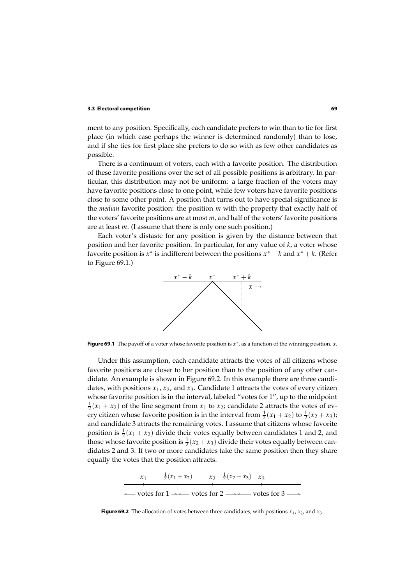#### **3.3 Electoral competition 69**

ment to any position. Specifically, each candidate prefers to win than to tie for first place (in which case perhaps the winner is determined randomly) than to lose, and if she ties for first place she prefers to do so with as few other candidates as possible.

There is a continuum of voters, each with a favorite position. The distribution of these favorite positions over the set of all possible positions is arbitrary. In particular, this distribution may not be uniform: a large fraction of the voters may have favorite positions close to one point, while few voters have favorite positions close to some other point. A position that turns out to have special significance is the *median* favorite position: the position *m* with the property that exactly half of the voters' favorite positions are at most *m*, and half of the voters' favorite positions are at least *m*. (I assume that there is only one such position.)

Each voter's distaste for any position is given by the distance between that position and her favorite position. In particular, for any value of *k*, a voter whose favorite position is  $x^*$  is indifferent between the positions  $x^* - k$  and  $x^* + k$ . (Refer to Figure 69.1.)



**Figure 69.1** The payoff of a voter whose favorite position is *x* ∗ , as a function of the winning position, *x*.

Under this assumption, each candidate attracts the votes of all citizens whose favorite positions are closer to her position than to the position of any other candidate. An example is shown in Figure 69.2. In this example there are three candidates, with positions *x*1, *x*2, and *x*3. Candidate 1 attracts the votes of every citizen whose favorite position is in the interval, labeled "votes for 1", up to the midpoint  $\frac{1}{2}(x_1 + x_2)$  of the line segment from  $x_1$  to  $x_2$ ; candidate 2 attracts the votes of every citizen whose favorite position is in the interval from  $\frac{1}{2}(x_1 + x_2)$  to  $\frac{1}{2}(x_2 + x_3)$ ; and candidate 3 attracts the remaining votes. I assume that citizens whose favorite position is  $\frac{1}{2}(x_1 + x_2)$  divide their votes equally between candidates 1 and 2, and those whose favorite position is  $\frac{1}{2}(x_2 + x_3)$  divide their votes equally between candidates 2 and 3. If two or more candidates take the same position then they share equally the votes that the position attracts.



**Figure 69.2** The allocation of votes between three candidates, with positions  $x_1$ ,  $x_2$ , and  $x_3$ .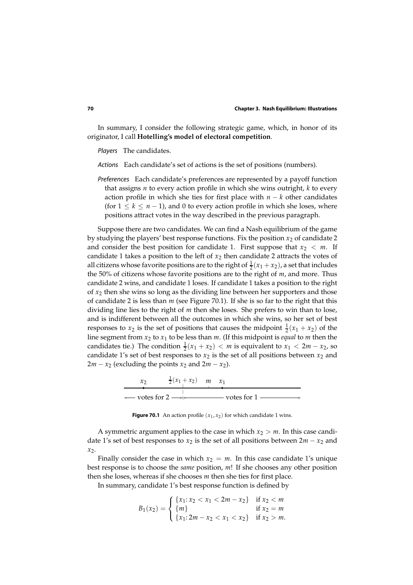In summary, I consider the following strategic game, which, in honor of its originator, I call **Hotelling's model of electoral competition**.

*Players* The candidates.

- *Actions* Each candidate's set of actions is the set of positions (numbers).
- *Preferences* Each candidate's preferences are represented by a payoff function that assigns *n* to every action profile in which she wins outright, *k* to every action profile in which she ties for first place with *n* − *k* other candidates (for  $1 \leq k \leq n-1$ ), and 0 to every action profile in which she loses, where positions attract votes in the way described in the previous paragraph.

Suppose there are two candidates. We can find a Nash equilibrium of the game by studying the players' best response functions. Fix the position  $x_2$  of candidate 2 and consider the best position for candidate 1. First suppose that  $x_2 < m$ . If candidate 1 takes a position to the left of  $x_2$  then candidate 2 attracts the votes of all citizens whose favorite positions are to the right of  $\frac{1}{2}(x_1 + x_2)$ , a set that includes the 50% of citizens whose favorite positions are to the right of *m*, and more. Thus candidate 2 wins, and candidate 1 loses. If candidate 1 takes a position to the right of  $x_2$  then she wins so long as the dividing line between her supporters and those of candidate 2 is less than *m* (see Figure 70.1). If she is so far to the right that this dividing line lies to the right of *m* then she loses. She prefers to win than to lose, and is indifferent between all the outcomes in which she wins, so her set of best responses to  $x_2$  is the set of positions that causes the midpoint  $\frac{1}{2}(x_1 + x_2)$  of the line segment from *x*<sup>2</sup> to *x*<sup>1</sup> to be less than *m*. (If this midpoint is *equal* to *m* then the candidates tie.) The condition  $\frac{1}{2}(x_1 + x_2) < m$  is equivalent to  $x_1 < 2m - x_2$ , so candidate 1's set of best responses to  $x_2$  is the set of all positions between  $x_2$  and  $2m - x_2$  (excluding the points  $x_2$  and  $2m - x_2$ ).



**Figure 70.1** An action profile  $(x_1, x_2)$  for which candidate 1 wins.

A symmetric argument applies to the case in which  $x_2 > m$ . In this case candidate 1's set of best responses to  $x_2$  is the set of all positions between  $2m - x_2$  and *x*2.

Finally consider the case in which  $x_2 = m$ . In this case candidate 1's unique best response is to choose the *same* position, *m*! If she chooses any other position then she loses, whereas if she chooses *m* then she ties for first place.

In summary, candidate 1's best response function is defined by

$$
B_1(x_2) = \begin{cases} \{x_1 : x_2 < x_1 < 2m - x_2\} & \text{if } x_2 < m \\ \{m\} & \text{if } x_2 = m \\ \{x_1 : 2m - x_2 < x_1 < x_2\} & \text{if } x_2 > m. \end{cases}
$$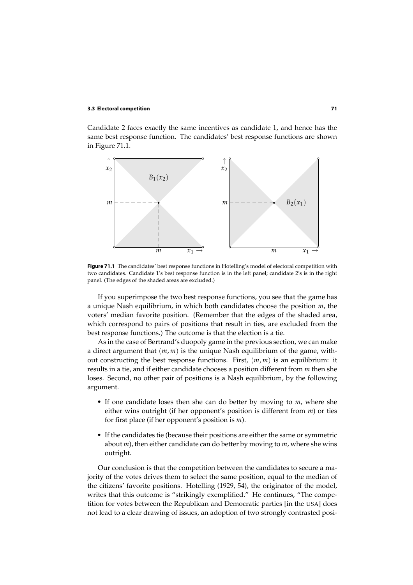### **3.3 Electoral competition 71**

Candidate 2 faces exactly the same incentives as candidate 1, and hence has the same best response function. The candidates' best response functions are shown in Figure 71.1.



**Figure 71.1** The candidates' best response functions in Hotelling's model of electoral competition with two candidates. Candidate 1's best response function is in the left panel; candidate 2's is in the right panel. (The edges of the shaded areas are excluded.)

If you superimpose the two best response functions, you see that the game has a unique Nash equilibrium, in which both candidates choose the position *m*, the voters' median favorite position. (Remember that the edges of the shaded area, which correspond to pairs of positions that result in ties, are excluded from the best response functions.) The outcome is that the election is a tie.

As in the case of Bertrand's duopoly game in the previous section, we can make a direct argument that (*m*, *m*) is the unique Nash equilibrium of the game, without constructing the best response functions. First, (*m*, *m*) is an equilibrium: it results in a tie, and if either candidate chooses a position different from *m* then she loses. Second, no other pair of positions is a Nash equilibrium, by the following argument.

- If one candidate loses then she can do better by moving to *m*, where she either wins outright (if her opponent's position is different from *m*) or ties for first place (if her opponent's position is *m*).
- If the candidates tie (because their positions are either the same or symmetric about *m*), then either candidate can do better by moving to *m*, where she wins outright.

Our conclusion is that the competition between the candidates to secure a majority of the votes drives them to select the same position, equal to the median of the citizens' favorite positions. Hotelling (1929, 54), the originator of the model, writes that this outcome is "strikingly exemplified." He continues, "The competition for votes between the Republican and Democratic parties [in the USA] does not lead to a clear drawing of issues, an adoption of two strongly contrasted posi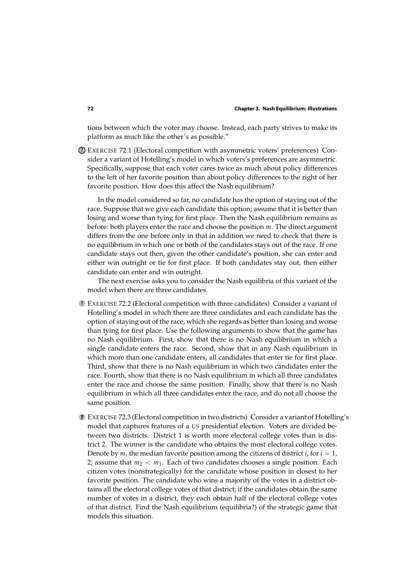tions between which the voter may choose. Instead, each party strives to make its platform as much like the other's as possible."

? EXERCISE 72.1 (Electoral competition with asymmetric voters' preferences) Consider a variant of Hotelling's model in which voters's preferences are asymmetric. Specifically, suppose that each voter cares twice as much about policy differences to the left of her favorite position than about policy differences to the right of her favorite position. How does this affect the Nash equilibrium?

In the model considered so far, no candidate has the option of staying out of the race. Suppose that we give each candidate this option; assume that it is better than losing and worse than tying for first place. Then the Nash equilibrium remains as before: both players enter the race and choose the position *m*. The direct argument differs from the one before only in that in addition we need to check that there is no equilibrium in which one or both of the candidates stays out of the race. If one candidate stays out then, given the other candidate's position, she can enter and either win outright or tie for first place. If both candidates stay out, then either candidate can enter and win outright.

The next exercise asks you to consider the Nash equilibria of this variant of the model when there are three candidates.

- ? EXERCISE 72.2 (Electoral competition with three candidates) Consider a variant of Hotelling's model in which there are three candidates and each candidate has the option of staying out of the race, which she regards as better than losing and worse than tying for first place. Use the following arguments to show that the game has no Nash equilibrium. First, show that there is no Nash equilibrium in which a single candidate enters the race. Second, show that in any Nash equilibrium in which more than one candidate enters, all candidates that enter tie for first place. Third, show that there is no Nash equilibrium in which two candidates enter the race. Fourth, show that there is no Nash equilibrium in which all three candidates enter the race and choose the same position. Finally, show that there is no Nash equilibrium in which all three candidates enter the race, and do not all choose the same position.
- ?? EXERCISE 72.3 (Electoral competition in two districts) Consider a variant of Hotelling's model that captures features of a US presidential election. Voters are divided between two districts. District 1 is worth more electoral college votes than is district 2. The winner is the candidate who obtains the most electoral college votes. Denote by  $m_i$  the median favorite position among the citizens of district *i*, for  $i = 1$ , 2; assume that  $m_2 < m_1$ . Each of two candidates chooses a single position. Each citizen votes (nonstrategically) for the candidate whose position in closest to her favorite position. The candidate who wins a majority of the votes in a district obtains all the electoral college votes of that district; if the candidates obtain the same number of votes in a district, they each obtain half of the electoral college votes of that district. Find the Nash equilibrium (equilibria?) of the strategic game that models this situation.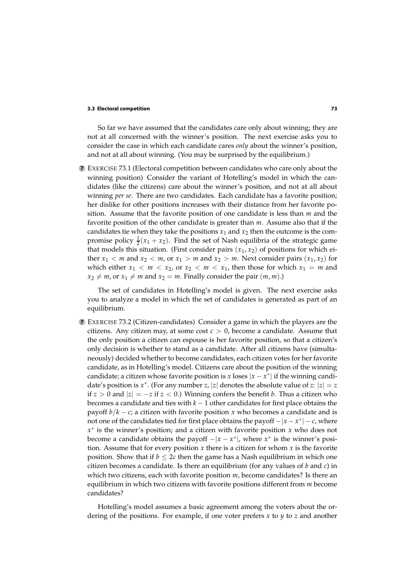### **3.3 Electoral competition 73**

So far we have assumed that the candidates care only about winning; they are not at all concerned with the winner's position. The next exercise asks you to consider the case in which each candidate cares *only* about the winner's position, and not at all about winning. (You may be surprised by the equilibrium.)

?? EXERCISE 73.1 (Electoral competition between candidates who care only about the winning position) Consider the variant of Hotelling's model in which the candidates (like the citizens) care about the winner's position, and not at all about winning *per se*. There are two candidates. Each candidate has a favorite position; her dislike for other positions increases with their distance from her favorite position. Assume that the favorite position of one candidate is less than *m* and the favorite position of the other candidate is greater than *m*. Assume also that if the candidates tie when they take the positions  $x_1$  and  $x_2$  then the outcome is the compromise policy  $\frac{1}{2}(x_1 + x_2)$ . Find the set of Nash equilibria of the strategic game that models this situation. (First consider pairs  $(x_1, x_2)$  of positions for which either  $x_1 < m$  and  $x_2 < m$ , or  $x_1 > m$  and  $x_2 > m$ . Next consider pairs  $(x_1, x_2)$  for which either  $x_1 < m < x_2$ , or  $x_2 < m < x_1$ , then those for which  $x_1 = m$  and  $x_2 \neq m$ , or  $x_1 \neq m$  and  $x_2 = m$ . Finally consider the pair  $(m, m)$ .)

The set of candidates in Hotelling's model is given. The next exercise asks you to analyze a model in which the set of candidates is generated as part of an equilibrium.

?? EXERCISE 73.2 (Citizen-candidates) Consider a game in which the players are the citizens. Any citizen may, at some cost  $c > 0$ , become a candidate. Assume that the only position a citizen can espouse is her favorite position, so that a citizen's only decision is whether to stand as a candidate. After all citizens have (simultaneously) decided whether to become candidates, each citizen votes for her favorite candidate, as in Hotelling's model. Citizens care about the position of the winning candidate; a citizen whose favorite position is *x* loses  $|x - x^*|$  if the winning candidate's position is *x* ∗ . (For any number *z*, |*z*| denotes the absolute value of *z*: |*z*| = *z* if  $z > 0$  and  $|z| = -z$  if  $z < 0$ .) Winning confers the benefit *b*. Thus a citizen who becomes a candidate and ties with *k* − 1 other candidates for first place obtains the payoff  $b/k - c$ ; a citizen with favorite position *x* who becomes a candidate and is not one of the candidates tied for first place obtains the payoff −|*x* − *x* ∗ | − *c*, where *x* ∗ is the winner's position; and a citizen with favorite position *x* who does not become a candidate obtains the payoff  $-|x - x^*|$ , where  $x^*$  is the winner's position. Assume that for every position  $x$  there is a citizen for whom  $x$  is the favorite position. Show that if  $b \leq 2c$  then the game has a Nash equilibrium in which one citizen becomes a candidate. Is there an equilibrium (for any values of *b* and *c*) in which two citizens, each with favorite position *m*, become candidates? Is there an equilibrium in which two citizens with favorite positions different from *m* become candidates?

Hotelling's model assumes a basic agreement among the voters about the ordering of the positions. For example, if one voter prefers *x* to *y* to *z* and another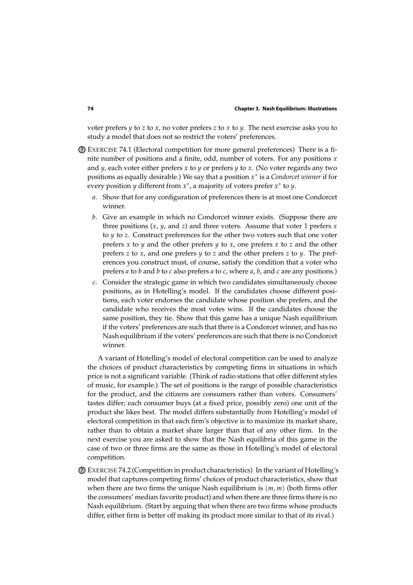voter prefers *y* to *z* to *x*, no voter prefers *z* to *x* to *y*. The next exercise asks you to study a model that does not so restrict the voters' preferences.

- ? EXERCISE 74.1 (Electoral competition for more general preferences) There is a finite number of positions and a finite, odd, number of voters. For any positions *x* and *y*, each voter either prefers *x* to *y* or prefers *y* to *x*. (No voter regards any two positions as equally desirable.) We say that a position *x* ∗ is a *Condorcet winner* if for every position *y* different from *x* ∗ , a majority of voters prefer *x* ∗ to *y*.
	- *a*. Show that for any configuration of preferences there is at most one Condorcet winner.
	- *b*. Give an example in which no Condorcet winner exists. (Suppose there are three positions  $(x, y, z)$  and three voters. Assume that voter 1 prefers  $x$ to *y* to *z*. Construct preferences for the other two voters such that one voter prefers *x* to *y* and the other prefers *y* to *x*, one prefers *x* to *z* and the other prefers *z* to *x*, and one prefers *y* to *z* and the other prefers *z* to *y*. The preferences you construct must, of course, satisfy the condition that a voter who prefers *a* to *b* and *b* to *c* also prefers *a* to *c*, where *a*, *b*, and *c* are any positions.)
	- *c*. Consider the strategic game in which two candidates simultaneously choose positions, as in Hotelling's model. If the candidates choose different positions, each voter endorses the candidate whose position she prefers, and the candidate who receives the most votes wins. If the candidates choose the same position, they tie. Show that this game has a unique Nash equilibrium if the voters' preferences are such that there is a Condorcet winner, and has no Nash equilibrium if the voters' preferences are such that there is no Condorcet winner.

A variant of Hotelling's model of electoral competition can be used to analyze the choices of product characteristics by competing firms in situations in which price is not a significant variable. (Think of radio stations that offer different styles of music, for example.) The set of positions is the range of possible characteristics for the product, and the citizens are consumers rather than voters. Consumers' tastes differ; each consumer buys (at a fixed price, possibly zero) one unit of the product she likes best. The model differs substantially from Hotelling's model of electoral competition in that each firm's objective is to maximize its market share, rather than to obtain a market share larger than that of any other firm. In the next exercise you are asked to show that the Nash equilibria of this game in the case of two or three firms are the same as those in Hotelling's model of electoral competition.

? EXERCISE 74.2 (Competition in product characteristics) In the variant of Hotelling's model that captures competing firms' choices of product characteristics, show that when there are two firms the unique Nash equilibrium is (*m*, *m*) (both firms offer the consumers' median favorite product) and when there are three firms there is no Nash equilibrium. (Start by arguing that when there are two firms whose products differ, either firm is better off making its product more similar to that of its rival.)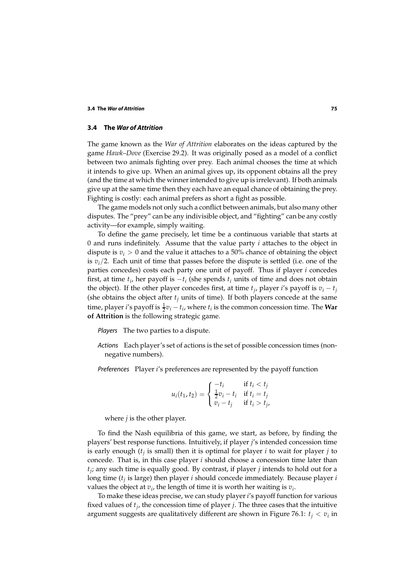#### **3.4 The** *War of Attrition* **75**

## **3.4 The** *War of Attrition*

The game known as the *War of Attrition* elaborates on the ideas captured by the game *Hawk–Dove* (Exercise 29.2). It was originally posed as a model of a conflict between two animals fighting over prey. Each animal chooses the time at which it intends to give up. When an animal gives up, its opponent obtains all the prey (and the time at which the winner intended to give up is irrelevant). If both animals give up at the same time then they each have an equal chance of obtaining the prey. Fighting is costly: each animal prefers as short a fight as possible.

The game models not only such a conflict between animals, but also many other disputes. The "prey" can be any indivisible object, and "fighting" can be any costly activity—for example, simply waiting.

To define the game precisely, let time be a continuous variable that starts at 0 and runs indefinitely. Assume that the value party *i* attaches to the object in dispute is  $v_i > 0$  and the value it attaches to a 50% chance of obtaining the object is  $v_i/2$ . Each unit of time that passes before the dispute is settled (i.e. one of the parties concedes) costs each party one unit of payoff. Thus if player *i* concedes first, at time  $t_i$ , her payoff is  $-t_i$  (she spends  $t_i$  units of time and does not obtain the object). If the other player concedes first, at time  $t_j$ , player *i*'s payoff is  $v_i - t_j$ (she obtains the object after  $t_j$  units of time). If both players concede at the same time, player *i'*s payoff is  $\frac{1}{2}v_i - t_i$ , where  $t_i$  is the common concession time. The **War of Attrition** is the following strategic game.

*Players* The two parties to a dispute.

*Actions* Each player's set of actions is the set of possible concession times (nonnegative numbers).

*Preferences* Player *i*'s preferences are represented by the payoff function

$$
u_i(t_1, t_2) = \begin{cases} -t_i & \text{if } t_i < t_j \\ \frac{1}{2}v_i - t_i & \text{if } t_i = t_j \\ v_i - t_j & \text{if } t_i > t_j, \end{cases}
$$

where *j* is the other player.

To find the Nash equilibria of this game, we start, as before, by finding the players' best response functions. Intuitively, if player *j*'s intended concession time is early enough (*t<sup>j</sup>* is small) then it is optimal for player *i* to wait for player *j* to concede. That is, in this case player *i* should choose a concession time later than *tj* ; any such time is equally good. By contrast, if player *j* intends to hold out for a long time (*t<sup>j</sup>* is large) then player *i* should concede immediately. Because player *i* values the object at  $v_i$ , the length of time it is worth her waiting is  $v_i$ .

To make these ideas precise, we can study player *i*'s payoff function for various fixed values of *t<sup>j</sup>* , the concession time of player *j*. The three cases that the intuitive argument suggests are qualitatively different are shown in Figure 76.1:  $t_j < v_i$  in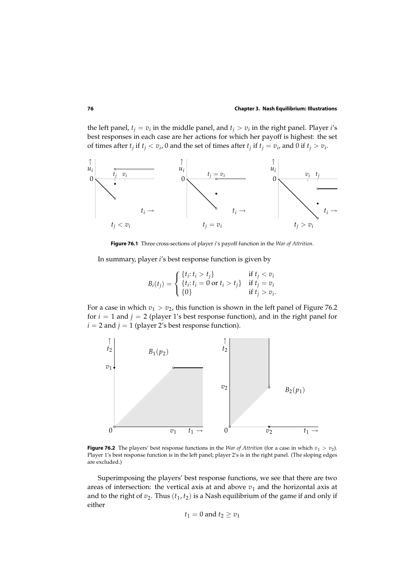the left panel,  $t_j = v_i$  in the middle panel, and  $t_j > v_i$  in the right panel. Player *i*'s best responses in each case are her actions for which her payoff is highest: the set of times after  $t_j$  if  $t_j < v_i$ , 0 and the set of times after  $t_j$  if  $t_j = v_i$ , and 0 if  $t_j > v_i$ .



**Figure 76.1** Three cross-sections of player *i*'s payoff function in the *War of Attrition*.

In summary, player *i*'s best response function is given by

$$
B_i(t_j) = \begin{cases} \{t_i : t_i > t_j\} & \text{if } t_j < v_i \\ \{t_i : t_i = 0 \text{ or } t_i > t_j\} & \text{if } t_j = v_i \\ \{0\} & \text{if } t_j > v_i. \end{cases}
$$

For a case in which  $v_1 > v_2$ , this function is shown in the left panel of Figure 76.2 for  $i = 1$  and  $j = 2$  (player 1's best response function), and in the right panel for  $i = 2$  and  $j = 1$  (player 2's best response function).



**Figure 76.2** The players' best response functions in the *War of Attrition* (for a case in which  $v_1 > v_2$ ). Player 1's best response function is in the left panel; player 2's is in the right panel. (The sloping edges are excluded.)

Superimposing the players' best response functions, we see that there are two areas of intersection: the vertical axis at and above  $v_1$  and the horizontal axis at and to the right of  $v_2$ . Thus  $(t_1, t_2)$  is a Nash equilibrium of the game if and only if either

$$
t_1 = 0 \text{ and } t_2 \ge v_1
$$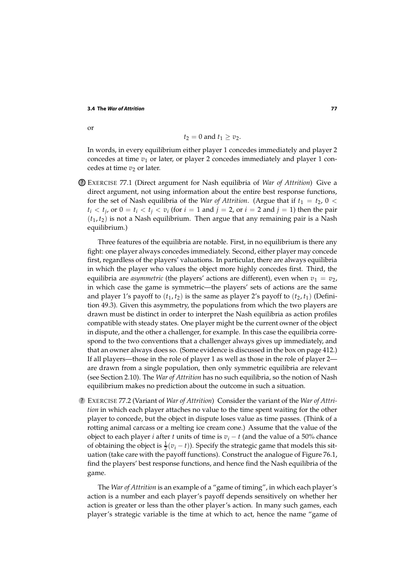### **3.4 The** *War of Attrition* **77**

$$
t_2=0 \text{ and } t_1\geq v_2.
$$

In words, in every equilibrium either player 1 concedes immediately and player 2 concedes at time  $v_1$  or later, or player 2 concedes immediately and player 1 concedes at time  $v_2$  or later.

? EXERCISE 77.1 (Direct argument for Nash equilibria of *War of Attrition*) Give a direct argument, not using information about the entire best response functions, for the set of Nash equilibria of the *War of Attrition*. (Argue that if  $t_1 = t_2$ , 0 <  $t_i < t_j$ , or  $0 = t_i < t_j < v_i$  (for  $i = 1$  and  $j = 2$ , or  $i = 2$  and  $j = 1$ ) then the pair  $(t_1, t_2)$  is not a Nash equilibrium. Then argue that any remaining pair is a Nash equilibrium.)

Three features of the equilibria are notable. First, in no equilibrium is there any fight: one player always concedes immediately. Second, either player may concede first, regardless of the players' valuations. In particular, there are always equilibria in which the player who values the object more highly concedes first. Third, the equilibria are *asymmetric* (the players' actions are different), even when  $v_1 = v_2$ , in which case the game is symmetric—the players' sets of actions are the same and player 1's payoff to  $(t_1, t_2)$  is the same as player 2's payoff to  $(t_2, t_1)$  (Definition 49.3). Given this asymmetry, the populations from which the two players are drawn must be distinct in order to interpret the Nash equilibria as action profiles compatible with steady states. One player might be the current owner of the object in dispute, and the other a challenger, for example. In this case the equilibria correspond to the two conventions that a challenger always gives up immediately, and that an owner always does so. (Some evidence is discussed in the box on page 412.) If all players—those in the role of player 1 as well as those in the role of player 2 are drawn from a single population, then only symmetric equilibria are relevant (see Section 2.10). The *War of Attrition* has no such equilibria, so the notion of Nash equilibrium makes no prediction about the outcome in such a situation.

? EXERCISE 77.2 (Variant of *War of Attrition*) Consider the variant of the *War of Attrition* in which each player attaches no value to the time spent waiting for the other player to concede, but the object in dispute loses value as time passes. (Think of a rotting animal carcass or a melting ice cream cone.) Assume that the value of the object to each player *i* after *t* units of time is  $v_i - t$  (and the value of a 50% chance of obtaining the object is  $\frac{1}{2}(v_i - t)$ ). Specify the strategic game that models this situation (take care with the payoff functions). Construct the analogue of Figure 76.1, find the players' best response functions, and hence find the Nash equilibria of the game.

The *War of Attrition* is an example of a "game of timing", in which each player's action is a number and each player's payoff depends sensitively on whether her action is greater or less than the other player's action. In many such games, each player's strategic variable is the time at which to act, hence the name "game of

or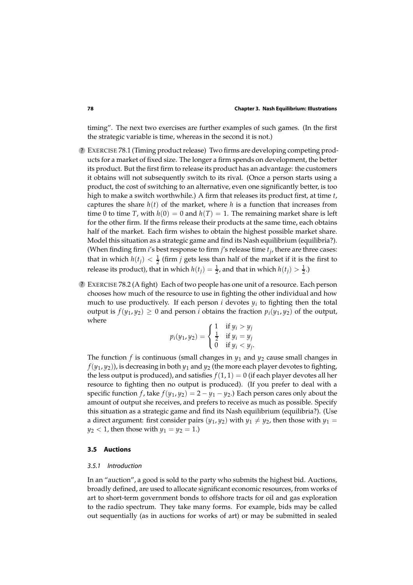timing". The next two exercises are further examples of such games. (In the first the strategic variable is time, whereas in the second it is not.)

- ? EXERCISE 78.1 (Timing productrelease) Two firms are developing competing products for a market of fixed size. The longer a firm spends on development, the better its product. But the first firm to release its product has an advantage: the customers it obtains will not subsequently switch to its rival. (Once a person starts using a product, the cost of switching to an alternative, even one significantly better, is too high to make a switch worthwhile.) A firm that releases its product first, at time *t*, captures the share  $h(t)$  of the market, where h is a function that increases from time 0 to time *T*, with  $h(0) = 0$  and  $h(T) = 1$ . The remaining market share is left for the other firm. If the firms release their products at the same time, each obtains half of the market. Each firm wishes to obtain the highest possible market share. Model this situation as a strategic game and find its Nash equilibrium (equilibria?). (When finding firm *i*'s best response to firm *j*'s release time *t<sup>j</sup>* , there are three cases: that in which  $h(t_j)<\frac{1}{2}$  (firm *j* gets less than half of the market if it is the first to release its product), that in which  $h(t_j) = \frac{1}{2}$ , and that in which  $h(t_j) > \frac{1}{2}$ .
- ? EXERCISE 78.2 (A fight) Each of two people has one unit of a resource. Each person chooses how much of the resource to use in fighting the other individual and how much to use productively. If each person *i* devotes *y<sup>i</sup>* to fighting then the total output is  $f(y_1, y_2) \geq 0$  and person *i* obtains the fraction  $p_i(y_1, y_2)$  of the output, where

$$
p_i(y_1, y_2) = \begin{cases} 1 & \text{if } y_i > y_j \\ \frac{1}{2} & \text{if } y_i = y_j \\ 0 & \text{if } y_i < y_j. \end{cases}
$$

The function *f* is continuous (small changes in  $y_1$  and  $y_2$  cause small changes in  $f(y_1, y_2)$ ), is decreasing in both  $y_1$  and  $y_2$  (the more each player devotes to fighting, the less output is produced), and satisfies  $f(1, 1) = 0$  (if each player devotes all her resource to fighting then no output is produced). (If you prefer to deal with a specific function *f*, take  $f(y_1, y_2) = 2 - y_1 - y_2$ .) Each person cares only about the amount of output she receives, and prefers to receive as much as possible. Specify this situation as a strategic game and find its Nash equilibrium (equilibria?). (Use a direct argument: first consider pairs  $(y_1, y_2)$  with  $y_1 \neq y_2$ , then those with  $y_1 =$ *y*<sub>2</sub> < 1, then those with *y*<sub>1</sub> = *y*<sub>2</sub> = 1.)

## **3.5 Auctions**

## *3.5.1 Introduction*

In an "auction", a good is sold to the party who submits the highest bid. Auctions, broadly defined, are used to allocate significant economic resources, from works of art to short-term government bonds to offshore tracts for oil and gas exploration to the radio spectrum. They take many forms. For example, bids may be called out sequentially (as in auctions for works of art) or may be submitted in sealed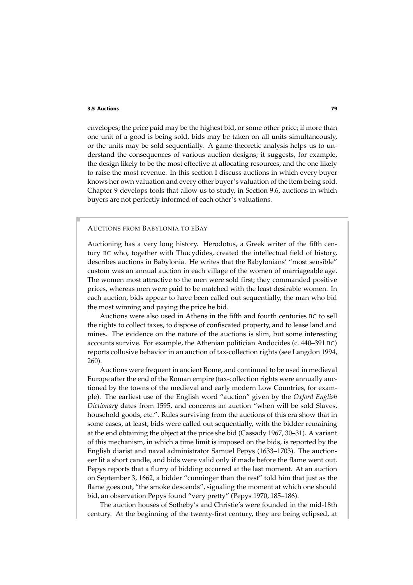#### **3.5 Auctions 79**

envelopes; the price paid may be the highest bid, or some other price; if more than one unit of a good is being sold, bids may be taken on all units simultaneously, or the units may be sold sequentially. A game-theoretic analysis helps us to understand the consequences of various auction designs; it suggests, for example, the design likely to be the most effective at allocating resources, and the one likely to raise the most revenue. In this section I discuss auctions in which every buyer knows her own valuation and every other buyer's valuation of the item being sold. Chapter 9 develops tools that allow us to study, in Section 9.6, auctions in which buyers are not perfectly informed of each other's valuations.

## AUCTIONS FROM BABYLONIA TO EBAY

Auctioning has a very long history. Herodotus, a Greek writer of the fifth century BC who, together with Thucydides, created the intellectual field of history, describes auctions in Babylonia. He writes that the Babylonians' "most sensible" custom was an annual auction in each village of the women of marriageable age. The women most attractive to the men were sold first; they commanded positive prices, whereas men were paid to be matched with the least desirable women. In each auction, bids appear to have been called out sequentially, the man who bid the most winning and paying the price he bid.

Auctions were also used in Athens in the fifth and fourth centuries BC to sell the rights to collect taxes, to dispose of confiscated property, and to lease land and mines. The evidence on the nature of the auctions is slim, but some interesting accounts survive. For example, the Athenian politician Andocides (c. 440–391 BC) reports collusive behavior in an auction of tax-collection rights (see Langdon 1994, 260).

Auctions were frequent in ancient Rome, and continued to be used in medieval Europe after the end of the Roman empire (tax-collection rights were annually auctioned by the towns of the medieval and early modern Low Countries, for example). The earliest use of the English word "auction" given by the *Oxford English Dictionary* dates from 1595, and concerns an auction "when will be sold Slaves, household goods, etc.". Rules surviving from the auctions of this era show that in some cases, at least, bids were called out sequentially, with the bidder remaining at the end obtaining the object at the price she bid (Cassady 1967, 30–31). A variant of this mechanism, in which a time limit is imposed on the bids, is reported by the English diarist and naval administrator Samuel Pepys (1633–1703). The auctioneer lit a short candle, and bids were valid only if made before the flame went out. Pepys reports that a flurry of bidding occurred at the last moment. At an auction on September 3, 1662, a bidder "cunninger than the rest" told him that just as the flame goes out, "the smoke descends", signaling the moment at which one should bid, an observation Pepys found "very pretty" (Pepys 1970, 185–186).

The auction houses of Sotheby's and Christie's were founded in the mid-18th century. At the beginning of the twenty-first century, they are being eclipsed, at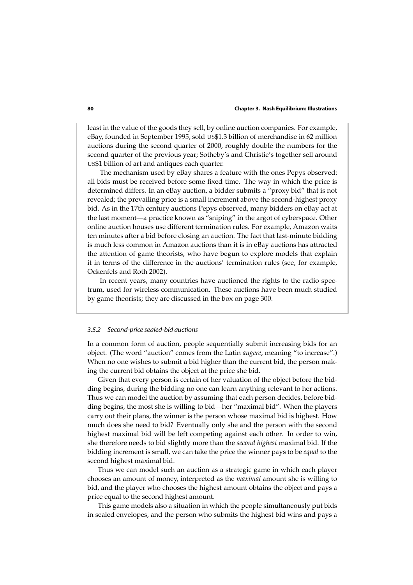#### **80 Chapter 3. Nash Equilibrium: Illustrations**

least in the value of the goods they sell, by online auction companies. For example, eBay, founded in September 1995, sold US\$1.3 billion of merchandise in 62 million auctions during the second quarter of 2000, roughly double the numbers for the second quarter of the previous year; Sotheby's and Christie's together sell around US\$1 billion of art and antiques each quarter.

The mechanism used by eBay shares a feature with the ones Pepys observed: all bids must be received before some fixed time. The way in which the price is determined differs. In an eBay auction, a bidder submits a "proxy bid" that is not revealed; the prevailing price is a small increment above the second-highest proxy bid. As in the 17th century auctions Pepys observed, many bidders on eBay act at the last moment—a practice known as "sniping" in the argot of cyberspace. Other online auction houses use different termination rules. For example, Amazon waits ten minutes after a bid before closing an auction. The fact that last-minute bidding is much less common in Amazon auctions than it is in eBay auctions has attracted the attention of game theorists, who have begun to explore models that explain it in terms of the difference in the auctions' termination rules (see, for example, Ockenfels and Roth 2002).

In recent years, many countries have auctioned the rights to the radio spectrum, used for wireless communication. These auctions have been much studied by game theorists; they are discussed in the box on page 300.

## *3.5.2 Second-price sealed-bid auctions*

In a common form of auction, people sequentially submit increasing bids for an object. (The word "auction" comes from the Latin *augere*, meaning "to increase".) When no one wishes to submit a bid higher than the current bid, the person making the current bid obtains the object at the price she bid.

Given that every person is certain of her valuation of the object before the bidding begins, during the bidding no one can learn anything relevant to her actions. Thus we can model the auction by assuming that each person decides, before bidding begins, the most she is willing to bid—her "maximal bid". When the players carry out their plans, the winner is the person whose maximal bid is highest. How much does she need to bid? Eventually only she and the person with the second highest maximal bid will be left competing against each other. In order to win, she therefore needs to bid slightly more than the *second highest* maximal bid. If the bidding increment is small, we can take the price the winner pays to be *equal* to the second highest maximal bid.

Thus we can model such an auction as a strategic game in which each player chooses an amount of money, interpreted as the *maximal* amount she is willing to bid, and the player who chooses the highest amount obtains the object and pays a price equal to the second highest amount.

This game models also a situation in which the people simultaneously put bids in sealed envelopes, and the person who submits the highest bid wins and pays a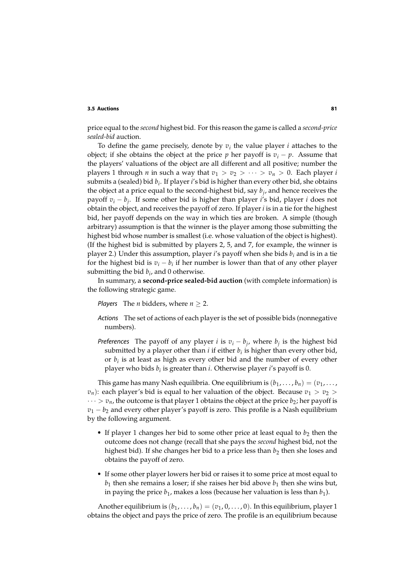#### **3.5 Auctions 81**

price equal to the *second* highest bid. For this reason the game is called a *second-price sealed-bid* auction.

To define the game precisely, denote by  $v_i$  the value player  $i$  attaches to the object; if she obtains the object at the price *p* her payoff is  $v_i - p$ . Assume that the players' valuations of the object are all different and all positive; number the players 1 through *n* in such a way that  $v_1 > v_2 > \cdots > v_n > 0$ . Each player *i* submits a (sealed) bid *b<sup>i</sup>* . If player *i*'s bid is higher than every other bid, she obtains the object at a price equal to the second-highest bid, say *b<sup>j</sup>* , and hence receives the payoff *v<sup>i</sup>* − *b<sup>j</sup>* . If some other bid is higher than player *i*'s bid, player *i* does not obtain the object, and receives the payoff of zero. If player*i* is in a tie forthe highest bid, her payoff depends on the way in which ties are broken. A simple (though arbitrary) assumption is that the winner is the player among those submitting the highest bid whose number is smallest (i.e. whose valuation of the object is highest). (If the highest bid is submitted by players 2, 5, and 7, for example, the winner is player 2.) Under this assumption, player *i*'s payoff when she bids *b<sup>i</sup>* and is in a tie for the highest bid is  $v_i - b_i$  if her number is lower than that of any other player submitting the bid  $b_i$ , and 0 otherwise.

In summary, a **second-price sealed-bid auction** (with complete information) is the following strategic game.

- *Players* The *n* bidders, where  $n \geq 2$ .
- *Actions* The set of actions of each player is the set of possible bids (nonnegative numbers).
- *Preferences* The payoff of any player *i* is *v<sup>i</sup>* − *b<sup>j</sup>* , where *b<sup>j</sup>* is the highest bid submitted by a player other than  $i$  if either  $b_i$  is higher than every other bid, or *b<sup>i</sup>* is at least as high as every other bid and the number of every other player who bids *b<sup>i</sup>* is greater than *i*. Otherwise player *i*'s payoff is 0.

This game has many Nash equilibria. One equilibrium is  $(b_1, \ldots, b_n) = (v_1, \ldots, v_n)$  $v_n$ ): each player's bid is equal to her valuation of the object. Because  $v_1 > v_2 > v_1$  $\cdots > v_n$ , the outcome is that player 1 obtains the object at the price  $b_2$ ; her payoff is  $v_1 - b_2$  and every other player's payoff is zero. This profile is a Nash equilibrium by the following argument.

- If player 1 changes her bid to some other price at least equal to  $b_2$  then the outcome does not change (recall that she pays the *second* highest bid, not the highest bid). If she changes her bid to a price less than  $b_2$  then she loses and obtains the payoff of zero.
- If some other player lowers her bid or raises it to some price at most equal to  $b_1$  then she remains a loser; if she raises her bid above  $b_1$  then she wins but, in paying the price  $b_1$ , makes a loss (because her valuation is less than  $b_1$ ).

Another equilibrium is  $(b_1, \ldots, b_n) = (v_1, 0, \ldots, 0)$ . In this equilibrium, player 1 obtains the object and pays the price of zero. The profile is an equilibrium because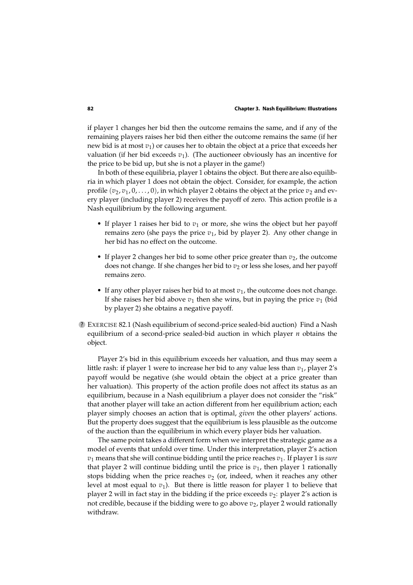if player 1 changes her bid then the outcome remains the same, and if any of the remaining players raises her bid then either the outcome remains the same (if her new bid is at most  $v_1$ ) or causes her to obtain the object at a price that exceeds her valuation (if her bid exceeds  $v_1$ ). (The auctioneer obviously has an incentive for the price to be bid up, but she is not a player in the game!)

In both of these equilibria, player 1 obtains the object. But there are also equilibria in which player 1 does not obtain the object. Consider, for example, the action profile  $(v_2, v_1, 0, \ldots, 0)$ , in which player 2 obtains the object at the price  $v_2$  and every player (including player 2) receives the payoff of zero. This action profile is a Nash equilibrium by the following argument.

- If player 1 raises her bid to  $v_1$  or more, she wins the object but her payoff remains zero (she pays the price  $v_1$ , bid by player 2). Any other change in her bid has no effect on the outcome.
- If player 2 changes her bid to some other price greater than  $v_2$ , the outcome does not change. If she changes her bid to  $v_2$  or less she loses, and her payoff remains zero.
- If any other player raises her bid to at most  $v_1$ , the outcome does not change. If she raises her bid above  $v_1$  then she wins, but in paying the price  $v_1$  (bid by player 2) she obtains a negative payoff.
- ? EXERCISE 82.1 (Nash equilibrium of second-price sealed-bid auction) Find a Nash equilibrium of a second-price sealed-bid auction in which player *n* obtains the object.

Player 2's bid in this equilibrium exceeds her valuation, and thus may seem a little rash: if player 1 were to increase her bid to any value less than *v*1, player 2's payoff would be negative (she would obtain the object at a price greater than her valuation). This property of the action profile does not affect its status as an equilibrium, because in a Nash equilibrium a player does not consider the "risk" that another player will take an action different from her equilibrium action; each player simply chooses an action that is optimal, *given* the other players' actions. But the property does suggest that the equilibrium is less plausible as the outcome of the auction than the equilibrium in which every player bids her valuation.

The same point takes a different form when we interpret the strategic game as a model of events that unfold over time. Under this interpretation, player 2's action  $v_1$  means that she will continue bidding until the price reaches  $v_1$ . If player 1 is *sure* that player 2 will continue bidding until the price is  $v_1$ , then player 1 rationally stops bidding when the price reaches  $v_2$  (or, indeed, when it reaches any other level at most equal to  $v_1$ ). But there is little reason for player 1 to believe that player 2 will in fact stay in the bidding if the price exceeds  $v_2$ : player 2's action is not credible, because if the bidding were to go above *v*2, player 2 would rationally withdraw.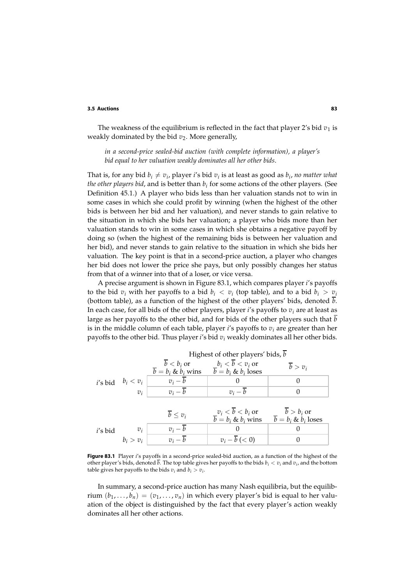#### **3.5 Auctions 83**

The weakness of the equilibrium is reflected in the fact that player 2's bid  $v_1$  is weakly dominated by the bid  $v_2$ . More generally,

*in a second-price sealed-bid auction (with complete information), a player's bid equal to her valuation weakly dominates all her other bids*.

That is, for any bid  $b_i \neq v_i$ , player *i*'s bid  $v_i$  is at least as good as  $b_i$ , no matter what *the other players bid*, and is better than *b<sup>i</sup>* for some actions of the other players. (See Definition 45.1.) A player who bids less than her valuation stands not to win in some cases in which she could profit by winning (when the highest of the other bids is between her bid and her valuation), and never stands to gain relative to the situation in which she bids her valuation; a player who bids more than her valuation stands to win in some cases in which she obtains a negative payoff by doing so (when the highest of the remaining bids is between her valuation and her bid), and never stands to gain relative to the situation in which she bids her valuation. The key point is that in a second-price auction, a player who changes her bid does not lower the price she pays, but only possibly changes her status from that of a winner into that of a loser, or vice versa.

A precise argument is shown in Figure 83.1, which compares player *i*'s payoffs to the bid  $v_i$  with her payoffs to a bid  $b_i < v_i$  (top table), and to a bid  $b_i > v_i$ (bottom table), as a function of the highest of the other players' bids, denoted  $\overline{b}$ . In each case, for all bids of the other players, player  $i$ 's payoffs to  $v_i$  are at least as large as her payoffs to the other bid, and for bids of the other players such that  $\overline{b}$ is in the middle column of each table, player *i*'s payoffs to  $v_i$  are greater than her payoffs to the other bid. Thus player *i*'s bid *v<sup>i</sup>* weakly dominates all her other bids.

| $\overline{b} > v_i$              |
|-----------------------------------|
|                                   |
|                                   |
|                                   |
|                                   |
| $\overline{b} > b_i$ or           |
| $\overline{b} = b_i \& b_i$ loses |
|                                   |
|                                   |
|                                   |

**Figure 83.1** Player *i*'s payoffs in a second-price sealed-bid auction, as a function of the highest of the other player's bids, denoted  $b$ . The top table gives her payoffs to the bids  $b_i < v_i$  and  $v_i$ , and the bottom table gives her payoffs to the bids  $v_i$  and  $b_i > v_i$ .

In summary, a second-price auction has many Nash equilibria, but the equilibrium  $(b_1, \ldots, b_n) = (v_1, \ldots, v_n)$  in which every player's bid is equal to her valuation of the object is distinguished by the fact that every player's action weakly dominates all her other actions.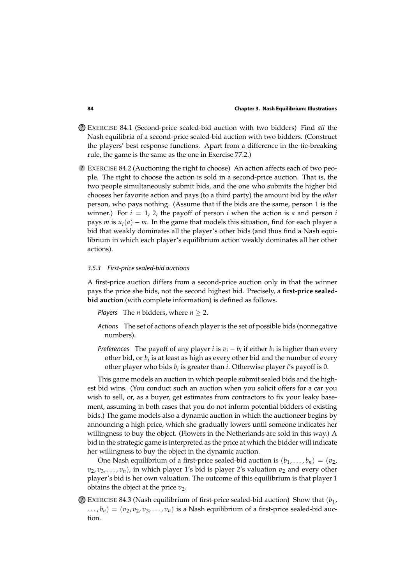- ? EXERCISE 84.1 (Second-price sealed-bid auction with two bidders) Find *all* the Nash equilibria of a second-price sealed-bid auction with two bidders. (Construct the players' best response functions. Apart from a difference in the tie-breaking rule, the game is the same as the one in Exercise 77.2.)
- ? EXERCISE 84.2 (Auctioning the right to choose) An action affects each of two people. The right to choose the action is sold in a second-price auction. That is, the two people simultaneously submit bids, and the one who submits the higher bid chooses her favorite action and pays (to a third party) the amount bid by the *other* person, who pays nothing. (Assume that if the bids are the same, person 1 is the winner.) For  $i = 1$ , 2, the payoff of person  $i$  when the action is  $a$  and person  $i$ pays *m* is *u<sup>i</sup>* (*a*) − *m*. In the game that models this situation, find for each player a bid that weakly dominates all the player's other bids (and thus find a Nash equilibrium in which each player's equilibrium action weakly dominates all her other actions).

## *3.5.3 First-price sealed-bid auctions*

A first-price auction differs from a second-price auction only in that the winner pays the price she bids, not the second highest bid. Precisely, a **first-price sealedbid auction** (with complete information) is defined as follows.

- *Players* The *n* bidders, where  $n \geq 2$ .
- *Actions* The set of actions of each player is the set of possible bids (nonnegative numbers).
- *Preferences* The payoff of any player *i* is *v<sup>i</sup>* − *b<sup>i</sup>* if either *b<sup>i</sup>* is higher than every other bid, or  $b_i$  is at least as high as every other bid and the number of every other player who bids  $b_i$  is greater than *i*. Otherwise player *i'*s payoff is 0.

This game models an auction in which people submit sealed bids and the highest bid wins. (You conduct such an auction when you solicit offers for a car you wish to sell, or, as a buyer, get estimates from contractors to fix your leaky basement, assuming in both cases that you do not inform potential bidders of existing bids.) The game models also a dynamic auction in which the auctioneer begins by announcing a high price, which she gradually lowers until someone indicates her willingness to buy the object. (Flowers in the Netherlands are sold in this way.) A bid in the strategic game is interpreted as the price at which the bidder will indicate her willingness to buy the object in the dynamic auction.

One Nash equilibrium of a first-price sealed-bid auction is  $(b_1, \ldots, b_n) = (v_2, \ldots, v_n)$  $v_2, v_3, \ldots, v_n$ , in which player 1's bid is player 2's valuation  $v_2$  and every other player's bid is her own valuation. The outcome of this equilibrium is that player 1 obtains the object at the price  $v_2$ .

? EXERCISE 84.3 (Nash equilibrium of first-price sealed-bid auction) Show that (*b*1,  $\ldots$ ,  $b_n$ ) =  $(v_2, v_2, v_3, \ldots, v_n)$  is a Nash equilibrium of a first-price sealed-bid auction.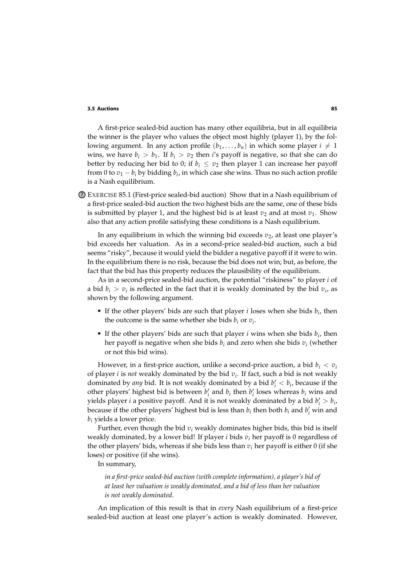#### **3.5 Auctions 85**

A first-price sealed-bid auction has many other equilibria, but in all equilibria the winner is the player who values the object most highly (player 1), by the following argument. In any action profile  $(b_1, \ldots, b_n)$  in which some player  $i \neq 1$ wins, we have  $b_i > b_1$ . If  $b_i > v_2$  then *i*'s payoff is negative, so that she can do better by reducing her bid to 0; if  $b_i \le v_2$  then player 1 can increase her payoff from 0 to  $v_1 - b_i$  by bidding  $b_i$ , in which case she wins. Thus no such action profile is a Nash equilibrium.

? EXERCISE 85.1 (First-price sealed-bid auction) Show that in a Nash equilibrium of a first-price sealed-bid auction the two highest bids are the same, one of these bids is submitted by player 1, and the highest bid is at least  $v_2$  and at most  $v_1$ . Show also that any action profile satisfying these conditions is a Nash equilibrium.

In any equilibrium in which the winning bid exceeds  $v_2$ , at least one player's bid exceeds her valuation. As in a second-price sealed-bid auction, such a bid seems "risky", because it would yield the bidder a negative payoff if it were to win. In the equilibrium there is no risk, because the bid does not win; but, as before, the fact that the bid has this property reduces the plausibility of the equilibrium.

As in a second-price sealed-bid auction, the potential "riskiness" to player *i* of a bid  $b_i > v_i$  is reflected in the fact that it is weakly dominated by the bid  $v_i$ , as shown by the following argument.

- If the other players' bids are such that player  $i$  loses when she bids  $b_i$ , then the outcome is the same whether she bids  $b_i$  or  $v_i$ .
- If the other players' bids are such that player  $i$  wins when she bids  $b_i$ , then her payoff is negative when she bids *b<sup>i</sup>* and zero when she bids *v<sup>i</sup>* (whether or not this bid wins).

However, in a first-price auction, unlike a second-price auction, a bid  $b_i < v_i$ of player *i* is *not* weakly dominated by the bid *v<sup>i</sup>* . If fact, such a bid is not weakly dominated by *any* bid. It is not weakly dominated by a bid  $b'_i < b_i$ , because if the other players' highest bid is between  $b'_i$  and  $b_i$  then  $b'_i$  loses whereas  $b_i$  wins and yields player *i* a positive payoff. And it is not weakly dominated by a bid  $b'_i > b_i$ , because if the other players' highest bid is less than  $b_i$  then both  $b_i$  and  $b'_i$  win and *b<sup>i</sup>* yields a lower price.

Further, even though the bid  $v_i$  weakly dominates higher bids, this bid is itself weakly dominated, by a lower bid! If player *i* bids *v<sup>i</sup>* her payoff is 0 regardless of the other players' bids, whereas if she bids less than  $v_i$  her payoff is either 0 (if she loses) or positive (if she wins).

## In summary,

*in a first-price sealed-bid auction (with complete information), a player's bid of at least her valuation is weakly dominated, and a bid of less than her valuation is not weakly dominated*.

An implication of this result is that in *every* Nash equilibrium of a first-price sealed-bid auction at least one player's action is weakly dominated. However,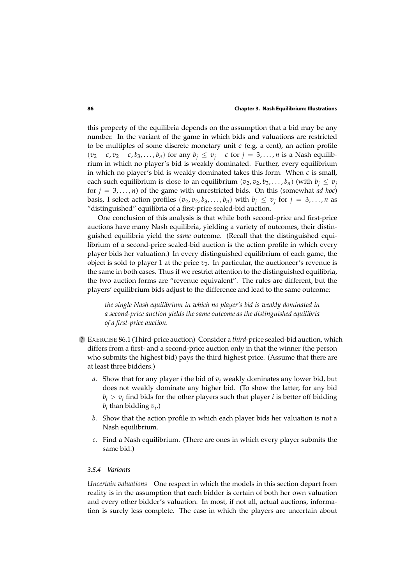this property of the equilibria depends on the assumption that a bid may be any number. In the variant of the game in which bids and valuations are restricted to be multiples of some discrete monetary unit  $\epsilon$  (e.g. a cent), an action profile  $(v_2 - \epsilon, v_2 - \epsilon, b_3, \ldots, b_n)$  for any  $b_j \le v_j - \epsilon$  for  $j = 3, \ldots, n$  is a Nash equilibrium in which no player's bid is weakly dominated. Further, every equilibrium in which no player's bid is weakly dominated takes this form. When  $\epsilon$  is small, each such equilibrium is close to an equilibrium  $(v_2, v_2, b_3, \ldots, b_n)$  (with  $b_i \leq v_i$ for  $j = 3, \ldots, n$  of the game with unrestricted bids. On this (somewhat *ad hoc*) basis, I select action profiles  $(v_2, v_2, b_3, \ldots, b_n)$  with  $b_j \le v_j$  for  $j = 3, \ldots, n$  as "distinguished" equilibria of a first-price sealed-bid auction.

One conclusion of this analysis is that while both second-price and first-price auctions have many Nash equilibria, yielding a variety of outcomes, their distinguished equilibria yield the *same* outcome. (Recall that the distinguished equilibrium of a second-price sealed-bid auction is the action profile in which every player bids her valuation.) In every distinguished equilibrium of each game, the object is sold to player 1 at the price  $v_2$ . In particular, the auctioneer's revenue is the same in both cases. Thus if we restrict attention to the distinguished equilibria, the two auction forms are "revenue equivalent". The rules are different, but the players' equilibrium bids adjust to the difference and lead to the same outcome:

*the single Nash equilibrium in which no player's bid is weakly dominated in a second-price auction yields the same outcome as the distinguished equilibria of a first-price auction*.

- ? EXERCISE 86.1 (Third-price auction) Consider a *third*-price sealed-bid auction, which differs from a first- and a second-price auction only in that the winner (the person who submits the highest bid) pays the third highest price. (Assume that there are at least three bidders.)
	- *a*. Show that for any player *i* the bid of  $v_i$  weakly dominates any lower bid, but does not weakly dominate any higher bid. (To show the latter, for any bid  $b_i > v_i$  find bids for the other players such that player *i* is better off bidding  $b_i$  than bidding  $v_i$ .)
	- *b*. Show that the action profile in which each player bids her valuation is not a Nash equilibrium.
	- *c*. Find a Nash equilibrium. (There are ones in which every player submits the same bid.)

## *3.5.4 Variants*

*Uncertain valuations* One respect in which the models in this section depart from reality is in the assumption that each bidder is certain of both her own valuation and every other bidder's valuation. In most, if not all, actual auctions, information is surely less complete. The case in which the players are uncertain about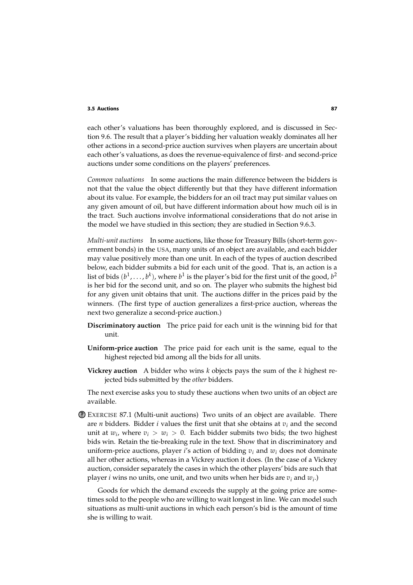#### **3.5 Auctions 87**

each other's valuations has been thoroughly explored, and is discussed in Section 9.6. The result that a player's bidding her valuation weakly dominates all her other actions in a second-price auction survives when players are uncertain about each other's valuations, as does the revenue-equivalence of first- and second-price auctions under some conditions on the players' preferences.

*Common valuations* In some auctions the main difference between the bidders is not that the value the object differently but that they have different information about its value. For example, the bidders for an oil tract may put similar values on any given amount of oil, but have different information about how much oil is in the tract. Such auctions involve informational considerations that do not arise in the model we have studied in this section; they are studied in Section 9.6.3.

*Multi-unit auctions* In some auctions, like those for Treasury Bills (short-term government bonds) in the USA, many units of an object are available, and each bidder may value positively more than one unit. In each of the types of auction described below, each bidder submits a bid for each unit of the good. That is, an action is a list of bids  $(b^1, \ldots, b^k)$ , where  $b^1$  is the player's bid for the first unit of the good,  $b^2$ is her bid for the second unit, and so on. The player who submits the highest bid for any given unit obtains that unit. The auctions differ in the prices paid by the winners. (The first type of auction generalizes a first-price auction, whereas the next two generalize a second-price auction.)

- **Discriminatory auction** The price paid for each unit is the winning bid for that unit.
- **Uniform-price auction** The price paid for each unit is the same, equal to the highest rejected bid among all the bids for all units.
- **Vickrey auction** A bidder who wins *k* objects pays the sum of the *k* highest rejected bids submitted by the *other* bidders.

The next exercise asks you to study these auctions when two units of an object are available.

?? EXERCISE 87.1 (Multi-unit auctions) Two units of an object are available. There are *n* bidders. Bidder *i* values the first unit that she obtains at  $v_i$  and the second unit at  $w_i$ , where  $v_i > w_i > 0$ . Each bidder submits two bids; the two highest bids win. Retain the tie-breaking rule in the text. Show that in discriminatory and uniform-price auctions, player *i*'s action of bidding  $v_i$  and  $w_i$  does not dominate all her other actions, whereas in a Vickrey auction it does. (In the case of a Vickrey auction, consider separately the cases in which the other players' bids are such that player *i* wins no units, one unit, and two units when her bids are  $v_i$  and  $w_i$ .)

Goods for which the demand exceeds the supply at the going price are sometimes sold to the people who are willing to wait longest in line. We can model such situations as multi-unit auctions in which each person's bid is the amount of time she is willing to wait.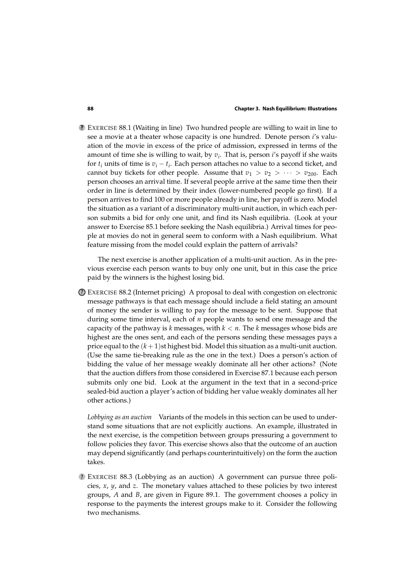?? EXERCISE 88.1 (Waiting in line) Two hundred people are willing to wait in line to see a movie at a theater whose capacity is one hundred. Denote person *i*'s valuation of the movie in excess of the price of admission, expressed in terms of the amount of time she is willing to wait, by *v<sup>i</sup>* . That is, person *i*'s payoff if she waits for  $t_i$  units of time is  $v_i - t_i$ . Each person attaches no value to a second ticket, and cannot buy tickets for other people. Assume that  $v_1 > v_2 > \cdots > v_{200}$ . Each person chooses an arrival time. If several people arrive at the same time then their order in line is determined by their index (lower-numbered people go first). If a person arrives to find 100 or more people already in line, her payoff is zero. Model the situation as a variant of a discriminatory multi-unit auction, in which each person submits a bid for only one unit, and find its Nash equilibria. (Look at your answer to Exercise 85.1 before seeking the Nash equilibria.) Arrival times for people at movies do not in general seem to conform with a Nash equilibrium. What feature missing from the model could explain the pattern of arrivals?

The next exercise is another application of a multi-unit auction. As in the previous exercise each person wants to buy only one unit, but in this case the price paid by the winners is the highest losing bid.

? EXERCISE 88.2 (Internet pricing) A proposal to deal with congestion on electronic message pathways is that each message should include a field stating an amount of money the sender is willing to pay for the message to be sent. Suppose that during some time interval, each of *n* people wants to send one message and the capacity of the pathway is  $k$  messages, with  $k < n$ . The  $k$  messages whose bids are highest are the ones sent, and each of the persons sending these messages pays a price equal to the  $(k+1)$ st highest bid. Model this situation as a multi-unit auction. (Use the same tie-breaking rule as the one in the text.) Does a person's action of bidding the value of her message weakly dominate all her other actions? (Note that the auction differs from those considered in Exercise 87.1 because each person submits only one bid. Look at the argument in the text that in a second-price sealed-bid auction a player's action of bidding her value weakly dominates all her other actions.)

*Lobbying as an auction* Variants of the models in this section can be used to understand some situations that are not explicitly auctions. An example, illustrated in the next exercise, is the competition between groups pressuring a government to follow policies they favor. This exercise shows also that the outcome of an auction may depend significantly (and perhaps counterintuitively) on the form the auction takes.

? EXERCISE 88.3 (Lobbying as an auction) A government can pursue three policies, *x*, *y*, and *z*. The monetary values attached to these policies by two interest groups, *A* and *B*, are given in Figure 89.1. The government chooses a policy in response to the payments the interest groups make to it. Consider the following two mechanisms.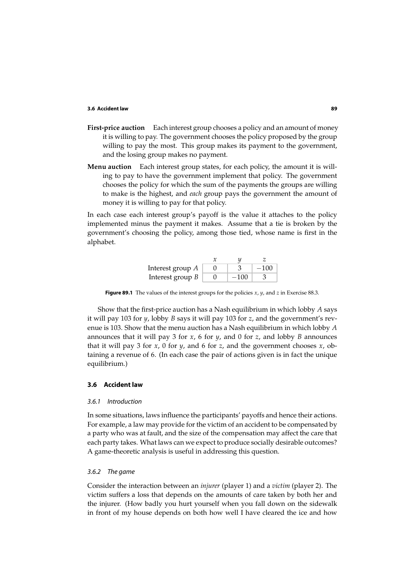### **3.6 Accident law 89**

- **First-price auction** Each interest group chooses a policy and an amount of money it is willing to pay. The government chooses the policy proposed by the group willing to pay the most. This group makes its payment to the government, and the losing group makes no payment.
- **Menu auction** Each interest group states, for each policy, the amount it is willing to pay to have the government implement that policy. The government chooses the policy for which the sum of the payments the groups are willing to make is the highest, and *each* group pays the government the amount of money it is willing to pay for that policy.

In each case each interest group's payoff is the value it attaches to the policy implemented minus the payment it makes. Assume that a tie is broken by the government's choosing the policy, among those tied, whose name is first in the alphabet.

| Interest group A   |        | $-100$ |
|--------------------|--------|--------|
| Interest group $B$ | $-100$ |        |

**Figure 89.1** The values of the interest groups for the policies *x*, *y*, and *z* in Exercise 88.3.

Show that the first-price auction has a Nash equilibrium in which lobby *A* says it will pay 103 for *y*, lobby *B* says it will pay 103 for *z*, and the government's revenue is 103. Show that the menu auction has a Nash equilibrium in which lobby *A* announces that it will pay 3 for *x*, 6 for *y*, and 0 for *z*, and lobby *B* announces that it will pay 3 for  $x$ , 0 for  $y$ , and 6 for  $z$ , and the government chooses  $x$ , obtaining a revenue of 6. (In each case the pair of actions given is in fact the unique equilibrium.)

## **3.6 Accident law**

## *3.6.1 Introduction*

In some situations, laws influence the participants' payoffs and hence their actions. For example, a law may provide for the victim of an accident to be compensated by a party who was at fault, and the size of the compensation may affect the care that each party takes. What laws can we expect to produce socially desirable outcomes? A game-theoretic analysis is useful in addressing this question.

## *3.6.2 The game*

Consider the interaction between an *injurer* (player 1) and a *victim* (player 2). The victim suffers a loss that depends on the amounts of care taken by both her and the injurer. (How badly you hurt yourself when you fall down on the sidewalk in front of my house depends on both how well I have cleared the ice and how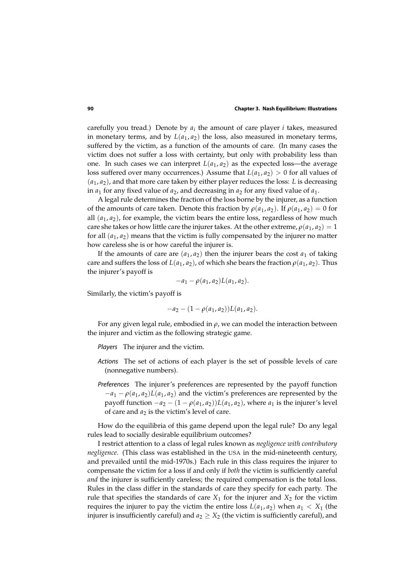#### **90 Chapter 3. Nash Equilibrium: Illustrations**

carefully you tread.) Denote by *a<sup>i</sup>* the amount of care player *i* takes, measured in monetary terms, and by  $L(a_1, a_2)$  the loss, also measured in monetary terms, suffered by the victim, as a function of the amounts of care. (In many cases the victim does not suffer a loss with certainty, but only with probability less than one. In such cases we can interpret  $L(a_1, a_2)$  as the expected loss—the average loss suffered over many occurrences.) Assume that  $L(a_1, a_2) > 0$  for all values of (*a*1, *a*2), and that more care taken by either player reduces the loss: *L* is decreasing in  $a_1$  for any fixed value of  $a_2$ , and decreasing in  $a_2$  for any fixed value of  $a_1$ .

A legal rule determines the fraction of the loss borne by the injurer, as a function of the amounts of care taken. Denote this fraction by  $\rho(a_1, a_2)$ . If  $\rho(a_1, a_2) = 0$  for all  $(a_1, a_2)$ , for example, the victim bears the entire loss, regardless of how much care she takes or how little care the injurer takes. At the other extreme,  $\rho(a_1, a_2) = 1$ for all  $(a_1, a_2)$  means that the victim is fully compensated by the injurer no matter how careless she is or how careful the injurer is.

If the amounts of care are  $(a_1, a_2)$  then the injurer bears the cost  $a_1$  of taking care and suffers the loss of  $L(a_1, a_2)$ , of which she bears the fraction  $\rho(a_1, a_2)$ . Thus the injurer's payoff is

$$
-a_1 - \rho(a_1, a_2) L(a_1, a_2).
$$

Similarly, the victim's payoff is

$$
-a_2-(1-\rho(a_1,a_2))L(a_1,a_2).
$$

For any given legal rule, embodied in *ρ*, we can model the interaction between the injurer and victim as the following strategic game.

*Players* The injurer and the victim.

- *Actions* The set of actions of each player is the set of possible levels of care (nonnegative numbers).
- *Preferences* The injurer's preferences are represented by the payoff function  $-a_1 - \rho(a_1, a_2) L(a_1, a_2)$  and the victim's preferences are represented by the payoff function  $-a_2 - (1 - \rho(a_1, a_2))L(a_1, a_2)$ , where  $a_1$  is the injurer's level of care and  $a_2$  is the victim's level of care.

How do the equilibria of this game depend upon the legal rule? Do any legal rules lead to socially desirable equilibrium outcomes?

I restrict attention to a class of legal rules known as *negligence with contributory negligence*. (This class was established in the USA in the mid-nineteenth century, and prevailed until the mid-1970s.) Each rule in this class requires the injurer to compensate the victim for a loss if and only if *both* the victim is sufficiently careful and the injurer is sufficiently careless; the required compensation is the total loss. Rules in the class differ in the standards of care they specify for each party. The rule that specifies the standards of care  $X_1$  for the injurer and  $X_2$  for the victim requires the injurer to pay the victim the entire loss  $L(a_1, a_2)$  when  $a_1 < X_1$  (the injurer is insufficiently careful) and  $a_2 \geq X_2$  (the victim is sufficiently careful), and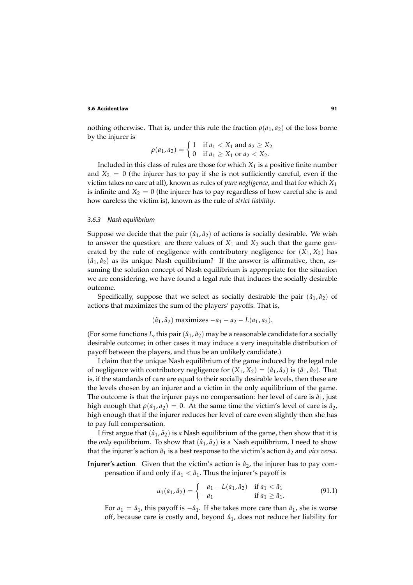### **3.6 Accident law 91**

nothing otherwise. That is, under this rule the fraction  $\rho(a_1, a_2)$  of the loss borne by the injurer is

$$
\rho(a_1, a_2) = \begin{cases} 1 & \text{if } a_1 < X_1 \text{ and } a_2 \ge X_2 \\ 0 & \text{if } a_1 \ge X_1 \text{ or } a_2 < X_2. \end{cases}
$$

Included in this class of rules are those for which *X*<sup>1</sup> is a positive finite number and  $X_2 = 0$  (the injurer has to pay if she is not sufficiently careful, even if the victim takes no care at all), known as rules of *pure negligence*, and that for which *X*<sup>1</sup> is infinite and  $X_2 = 0$  (the injurer has to pay regardless of how careful she is and how careless the victim is), known as the rule of *strict liability*.

## *3.6.3 Nash equilibrium*

Suppose we decide that the pair  $(\hat{a}_1, \hat{a}_2)$  of actions is socially desirable. We wish to answer the question: are there values of  $X_1$  and  $X_2$  such that the game generated by the rule of negligence with contributory negligence for  $(X_1, X_2)$  has  $(\hat{a}_1, \hat{a}_2)$  as its unique Nash equilibrium? If the answer is affirmative, then, assuming the solution concept of Nash equilibrium is appropriate for the situation we are considering, we have found a legal rule that induces the socially desirable outcome.

Specifically, suppose that we select as socially desirable the pair  $(\hat{a}_1, \hat{a}_2)$  of actions that maximizes the sum of the players' payoffs. That is,

$$
(\hat{a}_1, \hat{a}_2)
$$
 maximizes  $-a_1 - a_2 - L(a_1, a_2)$ .

(For some functions *L*, this pair  $(\hat{a}_1, \hat{a}_2)$  may be a reasonable candidate for a socially desirable outcome; in other cases it may induce a very inequitable distribution of payoff between the players, and thus be an unlikely candidate.)

I claim that the unique Nash equilibrium of the game induced by the legal rule of negligence with contributory negligence for  $(X_1, X_2) = (\hat{a}_1, \hat{a}_2)$  is  $(\hat{a}_1, \hat{a}_2)$ . That is, if the standards of care are equal to their socially desirable levels, then these are the levels chosen by an injurer and a victim in the only equilibrium of the game. The outcome is that the injurer pays no compensation: her level of care is  $\hat{a}_1$ , just high enough that  $\rho(a_1, a_2) = 0$ . At the same time the victim's level of care is  $\hat{a}_2$ , high enough that if the injurer reduces her level of care even slightly then she has to pay full compensation.

I first argue that  $(\hat{a}_1, \hat{a}_2)$  is *a* Nash equilibrium of the game, then show that it is the *only* equilibrium. To show that  $(\hat{a}_1, \hat{a}_2)$  is a Nash equilibrium, I need to show that the injurer's action *a*ˆ<sup>1</sup> is a best response to the victim's action *a*ˆ<sup>2</sup> and *vice versa*.

**Injurer's action** Given that the victim's action is  $\hat{a}_2$ , the injurer has to pay compensation if and only if  $a_1 < a_1$ . Thus the injurer's payoff is

$$
u_1(a_1, \hat{a}_2) = \begin{cases} -a_1 - L(a_1, \hat{a}_2) & \text{if } a_1 < \hat{a}_1 \\ -a_1 & \text{if } a_1 \ge \hat{a}_1. \end{cases}
$$
(91.1)

For  $a_1 = \hat{a}_1$ , this payoff is  $-\hat{a}_1$ . If she takes more care than  $\hat{a}_1$ , she is worse off, because care is costly and, beyond  $\hat{a}_1$ , does not reduce her liability for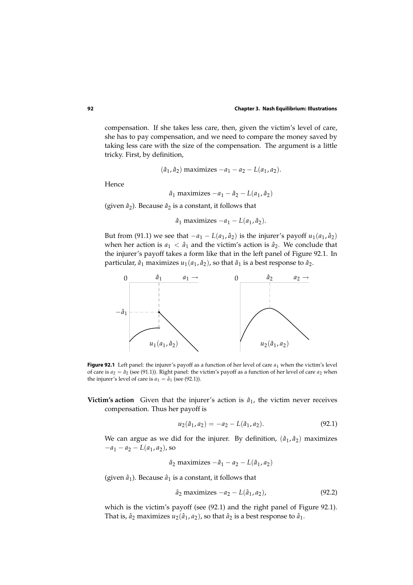compensation. If she takes less care, then, given the victim's level of care, she has to pay compensation, and we need to compare the money saved by taking less care with the size of the compensation. The argument is a little tricky. First, by definition,

$$
(\hat{a}_1, \hat{a}_2)
$$
 maximizes  $-a_1 - a_2 - L(a_1, a_2)$ .

Hence

 $\hat{a}_1$  maximizes  $-a_1 - \hat{a}_2 - L(a_1, \hat{a}_2)$ 

(given  $\hat{a}_2$ ). Because  $\hat{a}_2$  is a constant, it follows that

 $\hat{a}_1$  maximizes  $-a_1 - L(a_1, \hat{a}_2)$ .

But from (91.1) we see that  $-a_1 - L(a_1, \hat{a}_2)$  is the injurer's payoff  $u_1(a_1, \hat{a}_2)$ when her action is  $a_1 < \hat{a}_1$  and the victim's action is  $\hat{a}_2$ . We conclude that the injurer's payoff takes a form like that in the left panel of Figure 92.1. In particular,  $\hat{a}_1$  maximizes  $u_1(a_1, \hat{a}_2)$ , so that  $\hat{a}_1$  is a best response to  $\hat{a}_2$ .



**Figure 92.1** Left panel: the injurer's payoff as a function of her level of care  $a_1$  when the victim's level of care is  $a_2 = \hat{a}_2$  (see (91.1)). Right panel: the victim's payoff as a function of her level of care  $a_2$  when the injurer's level of care is  $a_1 = \hat{a}_1$  (see (92.1)).

**Victim's action** Given that the injurer's action is  $\hat{a}_1$ , the victim never receives compensation. Thus her payoff is

$$
u_2(\hat{a}_1, a_2) = -a_2 - L(\hat{a}_1, a_2). \tag{92.1}
$$

We can argue as we did for the injurer. By definition,  $(\hat{a}_1, \hat{a}_2)$  maximizes  $-a_1 - a_2 - L(a_1, a_2)$ , so

$$
\hat{a}_2
$$
 maximizes  $-\hat{a}_1 - a_2 - L(\hat{a}_1, a_2)$ 

(given  $\hat{a}_1$ ). Because  $\hat{a}_1$  is a constant, it follows that

$$
\hat{a}_2
$$
 maximizes  $-a_2 - L(\hat{a}_1, a_2)$ , (92.2)

which is the victim's payoff (see (92.1) and the right panel of Figure 92.1). That is,  $\hat{a}_2$  maximizes  $u_2(\hat{a}_1, a_2)$ , so that  $\hat{a}_2$  is a best response to  $\hat{a}_1$ .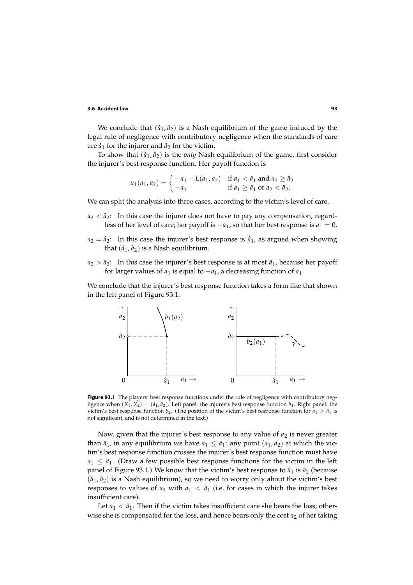### **3.6 Accident law 93**

We conclude that  $(\hat{a}_1, \hat{a}_2)$  is a Nash equilibrium of the game induced by the legal rule of negligence with contributory negligence when the standards of care are  $\hat{a}_1$  for the injurer and  $\hat{a}_2$  for the victim.

To show that  $(\hat{a}_1, \hat{a}_2)$  is the *only* Nash equilibrium of the game, first consider the injurer's best response function. Her payoff function is

$$
u_1(a_1, a_2) = \begin{cases} -a_1 - L(a_1, a_2) & \text{if } a_1 < \hat{a}_1 \text{ and } a_2 \ge \hat{a}_2 \\ -a_1 & \text{if } a_1 \ge \hat{a}_1 \text{ or } a_2 < \hat{a}_2. \end{cases}
$$

We can split the analysis into three cases, according to the victim's level of care.

- $a_2 < \hat{a}_2$ : In this case the injurer does not have to pay any compensation, regardless of her level of care; her payoff is  $-a_1$ , so that her best response is  $a_1 = 0$ .
- $a_2 = \hat{a}_2$ : In this case the injurer's best response is  $\hat{a}_1$ , as argued when showing that  $(\hat{a}_1, \hat{a}_2)$  is a Nash equilibrium.
- $a_2 > \hat{a}_2$ : In this case the injurer's best response is at most  $\hat{a}_1$ , because her payoff for larger values of  $a_1$  is equal to  $-a_1$ , a decreasing function of  $a_1$ .

We conclude that the injurer's best response function takes a form like that shown in the left panel of Figure 93.1.



**Figure 93.1** The players' best response functions under the rule of negligence with contributory negligence when  $(X_1, X_2) = (\hat{a}_1, \hat{a}_2)$ . Left panel: the injurer's best response function  $b_1$ . Right panel: the victim's best response function *b*<sub>2</sub>. (The position of the victim's best response function for  $a_1 > \hat{a}_1$  is not significant, and is not determined in the text.)

Now, given that the injurer's best response to any value of  $a_2$  is never greater than  $\hat{a}_1$ , in any equilibrium we have  $a_1 \leq \hat{a}_1$ : any point  $(a_1, a_2)$  at which the victim's best response function crosses the injurer's best response function must have  $a_1 \leq \hat{a}_1$ . (Draw a few possible best response functions for the victim in the left panel of Figure 93.1.) We know that the victim's best response to  $\hat{a}_1$  is  $\hat{a}_2$  (because  $(\hat{a}_1, \hat{a}_2)$  is a Nash equilibrium), so we need to worry only about the victim's best responses to values of  $a_1$  with  $a_1 < \hat{a}_1$  (i.e. for cases in which the injurer takes insufficient care).

Let  $a_1 < \hat{a}_1$ . Then if the victim takes insufficient care she bears the loss; otherwise she is compensated for the loss, and hence bears only the cost  $a_2$  of her taking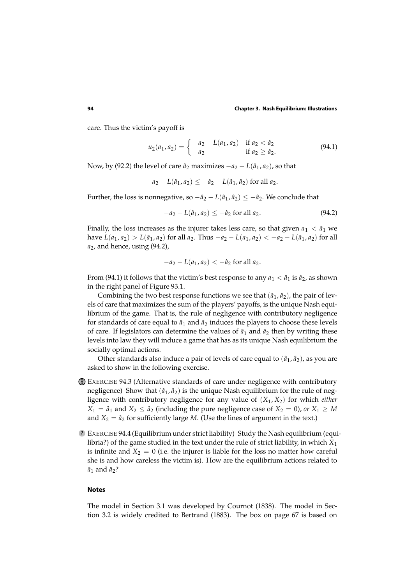care. Thus the victim's payoff is

$$
u_2(a_1, a_2) = \begin{cases} -a_2 - L(a_1, a_2) & \text{if } a_2 < \hat{a}_2 \\ -a_2 & \text{if } a_2 \ge \hat{a}_2. \end{cases}
$$
(94.1)

Now, by (92.2) the level of care  $\hat{a}_2$  maximizes  $-a_2 - L(\hat{a}_1, a_2)$ , so that

$$
-a_2 - L(\hat{a}_1, a_2) \leq -\hat{a}_2 - L(\hat{a}_1, \hat{a}_2)
$$
 for all  $a_2$ .

Further, the loss is nonnegative, so  $-\hat{a}_2 - L(\hat{a}_1, \hat{a}_2) \le -\hat{a}_2$ . We conclude that

$$
-a_2 - L(\hat{a}_1, a_2) \le -\hat{a}_2 \text{ for all } a_2.
$$
 (94.2)

Finally, the loss increases as the injurer takes less care, so that given  $a_1 < \hat{a}_1$  we have *L*(*a*<sub>1</sub>, *a*<sub>2</sub>) > *L*(*â*<sub>1</sub>, *a*<sub>2</sub>) for all *a*<sub>2</sub>. Thus −*a*<sub>2</sub> − *L*(*a*<sub>1</sub>, *a*<sub>2</sub>) < −*a*<sub>2</sub> − *L*(*â*<sub>1</sub>, *a*<sub>2</sub>) for all *a*2, and hence, using (94.2),

$$
-a_2 - L(a_1, a_2) < -\hat{a}_2 \text{ for all } a_2.
$$

From (94.1) it follows that the victim's best response to any  $a_1 < \hat{a}_1$  is  $\hat{a}_2$ , as shown in the right panel of Figure 93.1.

Combining the two best response functions we see that  $(\hat{a}_1, \hat{a}_2)$ , the pair of levels of care that maximizes the sum of the players' payoffs, is the unique Nash equilibrium of the game. That is, the rule of negligence with contributory negligence for standards of care equal to  $\hat{a}_1$  and  $\hat{a}_2$  induces the players to choose these levels of care. If legislators can determine the values of  $\hat{a}_1$  and  $\hat{a}_2$  then by writing these levels into law they will induce a game that has as its unique Nash equilibrium the socially optimal actions.

Other standards also induce a pair of levels of care equal to  $(\hat{a}_1, \hat{a}_2)$ , as you are asked to show in the following exercise.

- ?? EXERCISE 94.3 (Alternative standards of care under negligence with contributory negligence) Show that  $(\hat{a}_1, \hat{a}_2)$  is the unique Nash equilibrium for the rule of negligence with contributory negligence for any value of (*X*1, *X*2) for which *either X*<sub>1</sub> =  $\hat{a}_1$  and *X*<sub>2</sub>  $\leq \hat{a}_2$  (including the pure negligence case of *X*<sub>2</sub> = 0), *or X*<sub>1</sub>  $\geq M$ and  $X_2 = \hat{a}_2$  for sufficiently large *M*. (Use the lines of argument in the text.)
- ? EXERCISE 94.4 (Equilibrium under strict liability) Study the Nash equilibrium (equilibria?) of the game studied in the text under the rule of strict liability, in which *X*<sup>1</sup> is infinite and  $X_2 = 0$  (i.e. the injurer is liable for the loss no matter how careful she is and how careless the victim is). How are the equilibrium actions related to  $\hat{a}_1$  and  $\hat{a}_2$ ?

## **Notes**

The model in Section 3.1 was developed by Cournot (1838). The model in Section 3.2 is widely credited to Bertrand (1883). The box on page 67 is based on